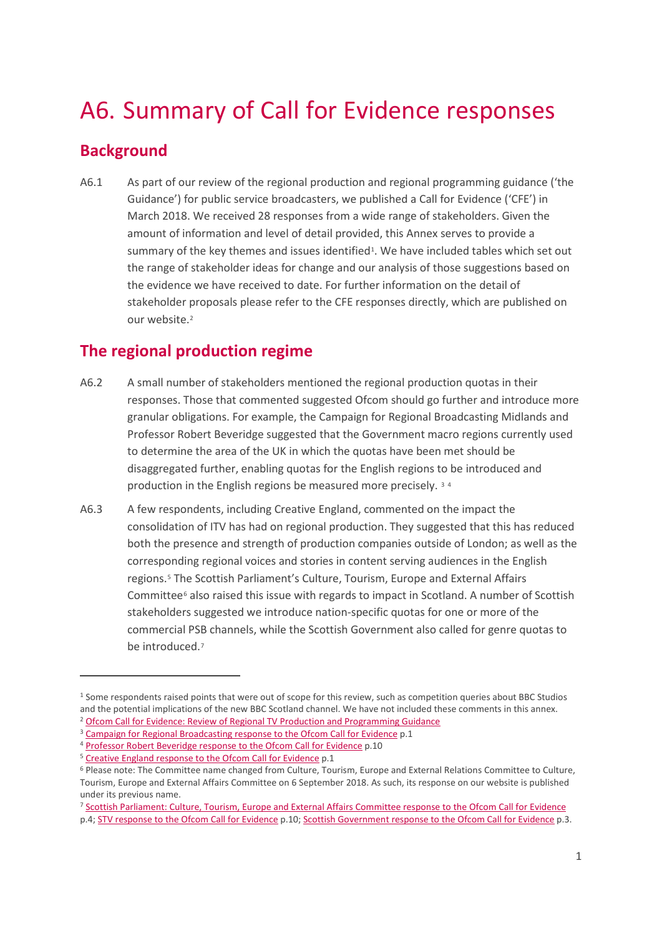# A6. Summary of Call for Evidence responses

# **Background**

 $\overline{a}$ 

A6.1 As part of our review of the regional production and regional programming guidance ('the Guidance') for public service broadcasters, we published a Call for Evidence ('CFE') in March 2018. We received 28 responses from a wide range of stakeholders. Given the amount of information and level of detail provided, this Annex serves to provide a summary of the key themes and issues identified<sup>1</sup>. We have included tables which set out the range of stakeholder ideas for change and our analysis of those suggestions based on the evidence we have received to date. For further information on the detail of stakeholder proposals please refer to the CFE responses directly, which are published on our website.[2](#page-0-1)

# **The regional production regime**

- A6.2 A small number of stakeholders mentioned the regional production quotas in their responses. Those that commented suggested Ofcom should go further and introduce more granular obligations. For example, the Campaign for Regional Broadcasting Midlands and Professor Robert Beveridge suggested that the Government macro regions currently used to determine the area of the UK in which the quotas have been met should be disaggregated further, enabling quotas for the English regions to be introduced and production in the English regions be measured more precisely. [3](#page-0-2) [4](#page-0-3)
- A6.3 A few respondents, including Creative England, commented on the impact the consolidation of ITV has had on regional production. They suggested that this has reduced both the presence and strength of production companies outside of London; as well as the corresponding regional voices and stories in content serving audiences in the English regions.[5](#page-0-4) The Scottish Parliament's Culture, Tourism, Europe and External Affairs Committee<sup>[6](#page-0-5)</sup> also raised this issue with regards to impact in Scotland. A number of Scottish stakeholders suggested we introduce nation-specific quotas for one or more of the commercial PSB channels, while the Scottish Government also called for genre quotas to be introduced.[7](#page-0-6)

<span id="page-0-0"></span><sup>1</sup> Some respondents raised points that were out of scope for this review, such as competition queries about BBC Studios and the potential implications of the new BBC Scotland channel. We have not included these comments in this annex. <sup>2</sup> [Ofcom Call for Evidence: Review of Regional TV Production and Programming Guidance](https://www.ofcom.org.uk/consultations-and-statements/category-2/regional-production-programming-guidance-review)

<span id="page-0-2"></span><span id="page-0-1"></span>

<sup>&</sup>lt;su[p](https://www.ofcom.org.uk/__data/assets/pdf_file/0019/115327/Campaign-for-Regional-Broadcasting-Midlands.pdf)>3</sup> Campaign for Regional Broadcasting response to the Ofcom Call for Evidence p.1 4 [Professor Robert Beveridge response to the Ofcom Call for Evidence](https://www.ofcom.org.uk/__data/assets/pdf_file/0019/114256/Beveridge,-R.pdf) p.10

<span id="page-0-4"></span><span id="page-0-3"></span><sup>&</sup>lt;sup>5</sup> [Creative England response to the Ofcom Call for Evidence](https://www.ofcom.org.uk/__data/assets/pdf_file/0025/128185/Creative-England.pdf) p.1

<span id="page-0-5"></span><sup>6</sup> Please note: The Committee name changed from Culture, Tourism, Europe and External Relations Committee to Culture, Tourism, Europe and External Affairs Committee on 6 September 2018. As such, its response on our website is published under its previous name.

<span id="page-0-6"></span><sup>7</sup> [Scottish Parliament: Culture, Tourism, Europe and External Affairs Committee response to the Ofcom Call for Evidence](https://www.ofcom.org.uk/__data/assets/pdf_file/0017/115325/Culture,-Tourism,-Europe-and-External-Relations-Committee.pdf) p.4; [STV response to the Ofcom Call for Evidence](https://www.ofcom.org.uk/__data/assets/pdf_file/0019/115318/STV.pdf) p.10; [Scottish Government response to the Ofcom Call for Evidence](https://www.ofcom.org.uk/__data/assets/pdf_file/0012/115320/Scottish-Government.pdf) p.3.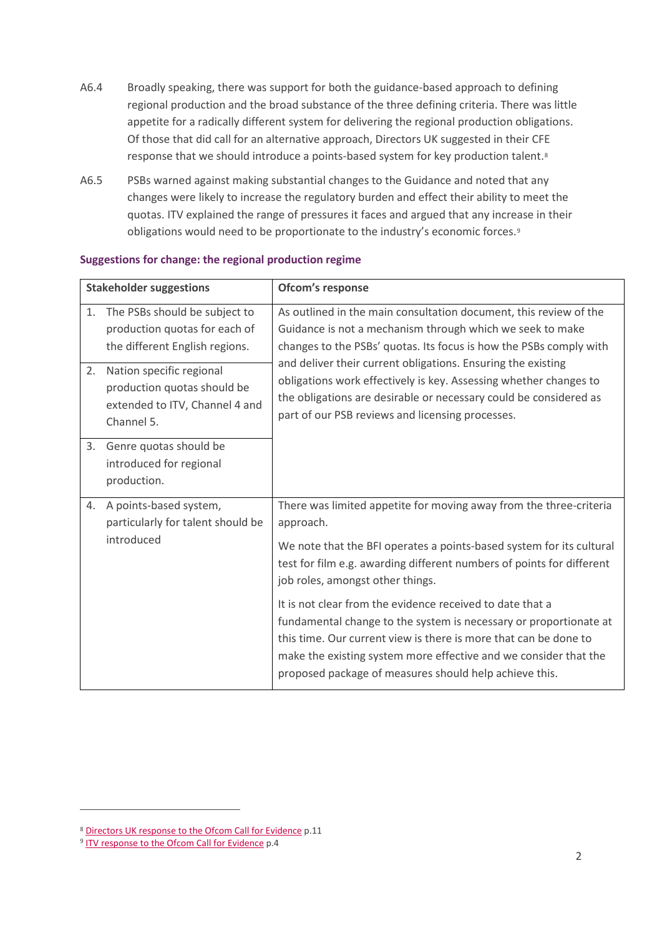- A6.4 Broadly speaking, there was support for both the guidance-based approach to defining regional production and the broad substance of the three defining criteria. There was little appetite for a radically different system for delivering the regional production obligations. Of those that did call for an alternative approach, Directors UK suggested in their CFE response that we should introduce a points-based system for key production talent.[8](#page-1-0)
- A6.5 PSBs warned against making substantial changes to the Guidance and noted that any changes were likely to increase the regulatory burden and effect their ability to meet the quotas. ITV explained the range of pressures it faces and argued that any increase in their obligations would need to be proportionate to the industry's economic forces.[9](#page-1-1)

| <b>Stakeholder suggestions</b> |                                                                                                         | Ofcom's response                                                                                                                                                                                                                                                                                                                                                                                                                                                   |
|--------------------------------|---------------------------------------------------------------------------------------------------------|--------------------------------------------------------------------------------------------------------------------------------------------------------------------------------------------------------------------------------------------------------------------------------------------------------------------------------------------------------------------------------------------------------------------------------------------------------------------|
| 1.                             | The PSBs should be subject to<br>production quotas for each of<br>the different English regions.        | As outlined in the main consultation document, this review of the<br>Guidance is not a mechanism through which we seek to make<br>changes to the PSBs' quotas. Its focus is how the PSBs comply with<br>and deliver their current obligations. Ensuring the existing<br>obligations work effectively is key. Assessing whether changes to<br>the obligations are desirable or necessary could be considered as<br>part of our PSB reviews and licensing processes. |
| 2.                             | Nation specific regional<br>production quotas should be<br>extended to ITV, Channel 4 and<br>Channel 5. |                                                                                                                                                                                                                                                                                                                                                                                                                                                                    |
| 3.                             | Genre quotas should be<br>introduced for regional<br>production.                                        |                                                                                                                                                                                                                                                                                                                                                                                                                                                                    |
| 4.                             | A points-based system,<br>particularly for talent should be                                             | There was limited appetite for moving away from the three-criteria<br>approach.<br>We note that the BFI operates a points-based system for its cultural<br>test for film e.g. awarding different numbers of points for different<br>job roles, amongst other things.<br>It is not clear from the evidence received to date that a                                                                                                                                  |
|                                | introduced                                                                                              |                                                                                                                                                                                                                                                                                                                                                                                                                                                                    |
|                                |                                                                                                         | fundamental change to the system is necessary or proportionate at<br>this time. Our current view is there is more that can be done to<br>make the existing system more effective and we consider that the<br>proposed package of measures should help achieve this.                                                                                                                                                                                                |

#### **Suggestions for change: the regional production regime**

<span id="page-1-0"></span><sup>8</sup> [Directors UK response to the Ofcom Call for Evidence](https://www.ofcom.org.uk/__data/assets/pdf_file/0020/114257/Directors-UK.pdf) p.11

<span id="page-1-1"></span><sup>9</sup> [ITV response to the Ofcom Call for Evidence](https://www.ofcom.org.uk/__data/assets/pdf_file/0016/115324/ITV.pdf) p.4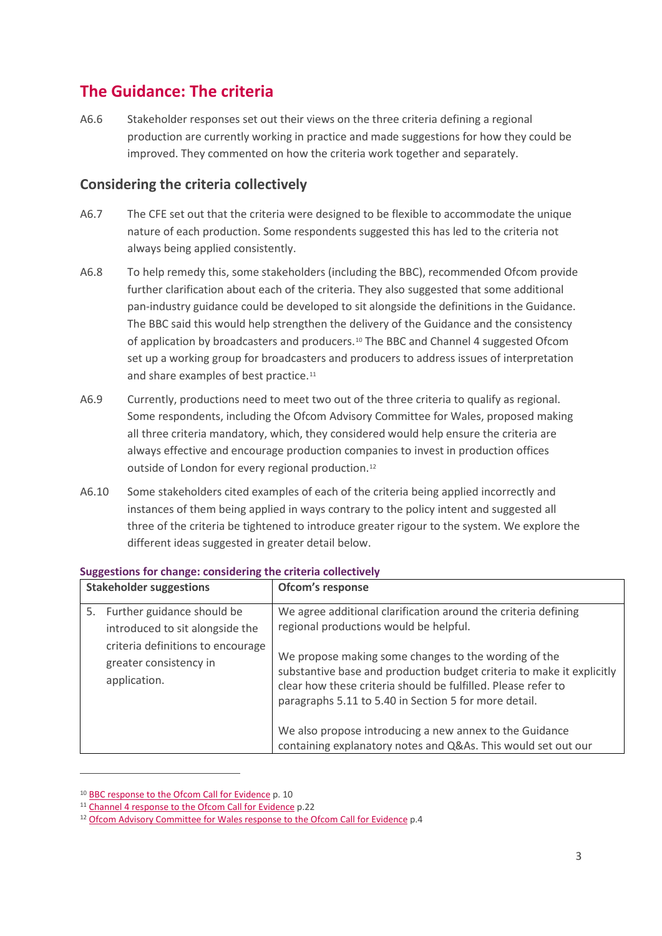### **The Guidance: The criteria**

A6.6 Stakeholder responses set out their views on the three criteria defining a regional production are currently working in practice and made suggestions for how they could be improved. They commented on how the criteria work together and separately.

### **Considering the criteria collectively**

- A6.7 The CFE set out that the criteria were designed to be flexible to accommodate the unique nature of each production. Some respondents suggested this has led to the criteria not always being applied consistently.
- A6.8 To help remedy this, some stakeholders (including the BBC), recommended Ofcom provide further clarification about each of the criteria. They also suggested that some additional pan-industry guidance could be developed to sit alongside the definitions in the Guidance. The BBC said this would help strengthen the delivery of the Guidance and the consistency of application by broadcasters and producers.[10](#page-2-0) The BBC and Channel 4 suggested Ofcom set up a working group for broadcasters and producers to address issues of interpretation and share examples of best practice[.11](#page-2-1)
- A6.9 Currently, productions need to meet two out of the three criteria to qualify as regional. Some respondents, including the Ofcom Advisory Committee for Wales, proposed making all three criteria mandatory, which, they considered would help ensure the criteria are always effective and encourage production companies to invest in production offices outside of London for every regional production.<sup>12</sup>
- A6.10 Some stakeholders cited examples of each of the criteria being applied incorrectly and instances of them being applied in ways contrary to the policy intent and suggested all three of the criteria be tightened to introduce greater rigour to the system. We explore the different ideas suggested in greater detail below.

| <b>Stakeholder suggestions</b> |                                                                             | Ofcom's response                                                                                                                                                                                                                                        |
|--------------------------------|-----------------------------------------------------------------------------|---------------------------------------------------------------------------------------------------------------------------------------------------------------------------------------------------------------------------------------------------------|
| 5.                             | Further guidance should be<br>introduced to sit alongside the               | We agree additional clarification around the criteria defining<br>regional productions would be helpful.                                                                                                                                                |
|                                | criteria definitions to encourage<br>greater consistency in<br>application. | We propose making some changes to the wording of the<br>substantive base and production budget criteria to make it explicitly<br>clear how these criteria should be fulfilled. Please refer to<br>paragraphs 5.11 to 5.40 in Section 5 for more detail. |
|                                |                                                                             | We also propose introducing a new annex to the Guidance<br>containing explanatory notes and Q&As. This would set out our                                                                                                                                |

#### **Suggestions for change: considering the criteria collectively**

<span id="page-2-0"></span><sup>&</sup>lt;sup>10</sup> [BBC response to the Ofcom Call for Evidence](https://www.ofcom.org.uk/__data/assets/pdf_file/0020/115328/BBC.pdf) p. 10

<span id="page-2-1"></span><sup>&</sup>lt;sup>11</sup> [Channel 4 response to the Ofcom Call for Evidence](https://www.ofcom.org.uk/__data/assets/pdf_file/0018/115326/Channel-4.pdf) p.22

<span id="page-2-2"></span><sup>&</sup>lt;sup>12</sup> [Ofcom Advisory Committee for Wales response to the Ofcom Call for Evidence](https://www.ofcom.org.uk/__data/assets/pdf_file/0021/115329/Advisory-Committee-for-Wales.pdf) p.4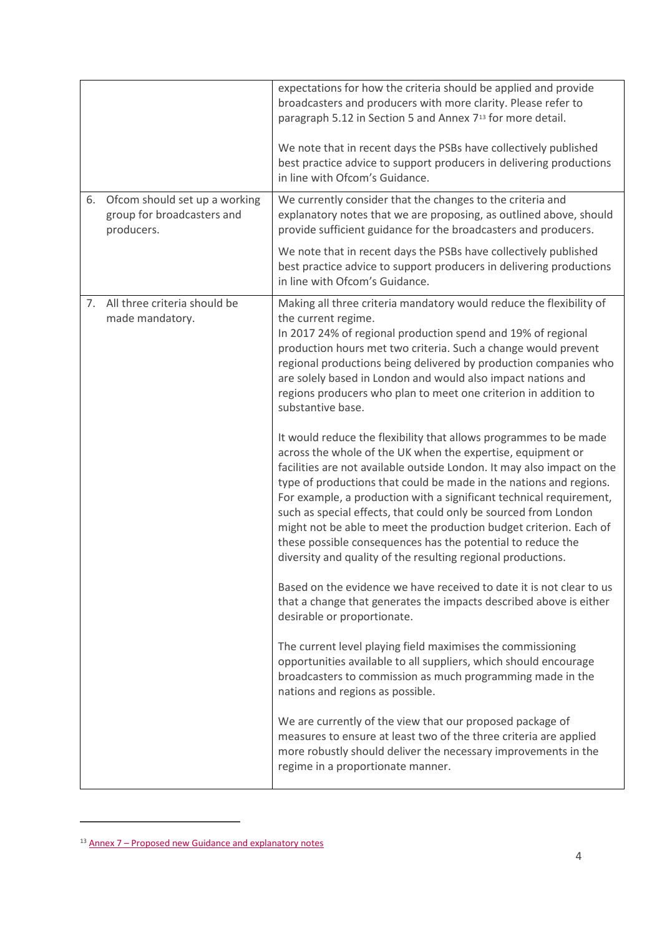|    |                                                                           | expectations for how the criteria should be applied and provide<br>broadcasters and producers with more clarity. Please refer to<br>paragraph 5.12 in Section 5 and Annex 7 <sup>13</sup> for more detail.                                                                                                                                                                                                                                                                                                                                                                                                                      |
|----|---------------------------------------------------------------------------|---------------------------------------------------------------------------------------------------------------------------------------------------------------------------------------------------------------------------------------------------------------------------------------------------------------------------------------------------------------------------------------------------------------------------------------------------------------------------------------------------------------------------------------------------------------------------------------------------------------------------------|
|    |                                                                           | We note that in recent days the PSBs have collectively published<br>best practice advice to support producers in delivering productions<br>in line with Ofcom's Guidance.                                                                                                                                                                                                                                                                                                                                                                                                                                                       |
| 6. | Ofcom should set up a working<br>group for broadcasters and<br>producers. | We currently consider that the changes to the criteria and<br>explanatory notes that we are proposing, as outlined above, should<br>provide sufficient guidance for the broadcasters and producers.                                                                                                                                                                                                                                                                                                                                                                                                                             |
|    |                                                                           | We note that in recent days the PSBs have collectively published<br>best practice advice to support producers in delivering productions<br>in line with Ofcom's Guidance.                                                                                                                                                                                                                                                                                                                                                                                                                                                       |
| 7. | All three criteria should be<br>made mandatory.                           | Making all three criteria mandatory would reduce the flexibility of<br>the current regime.<br>In 2017 24% of regional production spend and 19% of regional<br>production hours met two criteria. Such a change would prevent<br>regional productions being delivered by production companies who<br>are solely based in London and would also impact nations and<br>regions producers who plan to meet one criterion in addition to<br>substantive base.                                                                                                                                                                        |
|    |                                                                           | It would reduce the flexibility that allows programmes to be made<br>across the whole of the UK when the expertise, equipment or<br>facilities are not available outside London. It may also impact on the<br>type of productions that could be made in the nations and regions.<br>For example, a production with a significant technical requirement,<br>such as special effects, that could only be sourced from London<br>might not be able to meet the production budget criterion. Each of<br>these possible consequences has the potential to reduce the<br>diversity and quality of the resulting regional productions. |
|    |                                                                           | Based on the evidence we have received to date it is not clear to us<br>that a change that generates the impacts described above is either<br>desirable or proportionate.                                                                                                                                                                                                                                                                                                                                                                                                                                                       |
|    |                                                                           | The current level playing field maximises the commissioning<br>opportunities available to all suppliers, which should encourage<br>broadcasters to commission as much programming made in the<br>nations and regions as possible.                                                                                                                                                                                                                                                                                                                                                                                               |
|    |                                                                           | We are currently of the view that our proposed package of<br>measures to ensure at least two of the three criteria are applied<br>more robustly should deliver the necessary improvements in the<br>regime in a proportionate manner.                                                                                                                                                                                                                                                                                                                                                                                           |

<span id="page-3-0"></span><sup>13</sup> Annex 7 – [Proposed new Guidance and explanatory](https://www.ofcom.org.uk/__data/assets/pdf_file/0015/130704/Annex-7-Guidance-and-explanatory-notes-annex.pdf) notes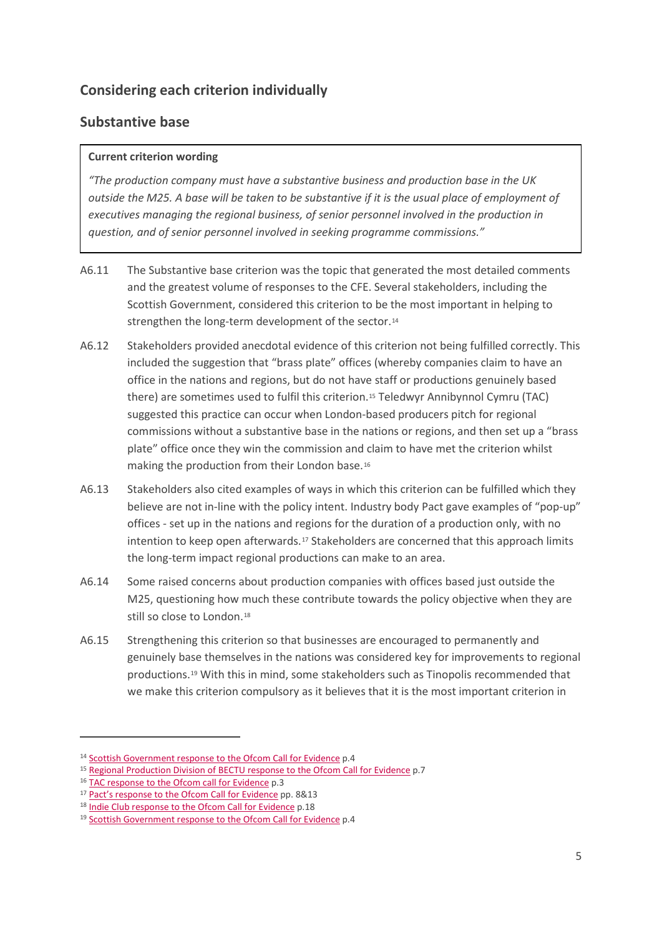### **Considering each criterion individually**

### **Substantive base**

#### **Current criterion wording**

*"The production company must have a substantive business and production base in the UK outside the M25. A base will be taken to be substantive if it is the usual place of employment of executives managing the regional business, of senior personnel involved in the production in question, and of senior personnel involved in seeking programme commissions."*

- A6.11 The Substantive base criterion was the topic that generated the most detailed comments and the greatest volume of responses to the CFE. Several stakeholders, including the Scottish Government, considered this criterion to be the most important in helping to strengthen the long-term development of the sector.[14](#page-4-0)
- A6.12 Stakeholders provided anecdotal evidence of this criterion not being fulfilled correctly. This included the suggestion that "brass plate" offices (whereby companies claim to have an office in the nations and regions, but do not have staff or productions genuinely based there) are sometimes used to fulfil this criterion.[15](#page-4-1) Teledwyr Annibynnol Cymru (TAC) suggested this practice can occur when London-based producers pitch for regional commissions without a substantive base in the nations or regions, and then set up a "brass plate" office once they win the commission and claim to have met the criterion whilst making the production from their London base.[16](#page-4-2)
- A6.13 Stakeholders also cited examples of ways in which this criterion can be fulfilled which they believe are not in-line with the policy intent. Industry body Pact gave examples of "pop-up" offices - set up in the nations and regions for the duration of a production only, with no intention to keep open afterwards.<sup>[17](#page-4-3)</sup> Stakeholders are concerned that this approach limits the long-term impact regional productions can make to an area.
- A6.14 Some raised concerns about production companies with offices based just outside the M25, questioning how much these contribute towards the policy objective when they are still so close to London.<sup>[18](#page-4-4)</sup>
- A6.15 Strengthening this criterion so that businesses are encouraged to permanently and genuinely base themselves in the nations was considered key for improvements to regional productions.[19](#page-4-5) With this in mind, some stakeholders such as Tinopolis recommended that we make this criterion compulsory as it believes that it is the most important criterion in

<span id="page-4-0"></span><sup>&</sup>lt;sup>14</sup> [Scottish Government response to the Ofcom Call for Evidence](https://www.ofcom.org.uk/__data/assets/pdf_file/0012/115320/Scottish-Government.pdf) p.4

<span id="page-4-1"></span><sup>&</sup>lt;sup>15</sup> [Regional Production Division of BECTU response to the Ofcom Call for Evidence](https://www.ofcom.org.uk/__data/assets/pdf_file/0013/115321/Regional-Production-Division-of-BECTU.pdf) p.7

<span id="page-4-2"></span><sup>&</sup>lt;sup>16</sup> [TAC response to the Ofcom call for Evidence](https://www.ofcom.org.uk/__data/assets/pdf_file/0018/115317/TAC.pdf) p.3

<span id="page-4-3"></span><sup>&</sup>lt;sup>17</sup> [Pact's response to the Ofcom Call for Evidence](https://www.ofcom.org.uk/__data/assets/pdf_file/0014/115322/PACT.pdf) pp. 8&13

<span id="page-4-4"></span><sup>18</sup> [Indie Club response to the Ofcom Call for Evidence](https://www.ofcom.org.uk/__data/assets/pdf_file/0015/115314/The-Indie-Club.pdf) p.18

<span id="page-4-5"></span><sup>&</sup>lt;sup>19</sup> [Scottish Government response to the Ofcom Call for Evidence](https://www.ofcom.org.uk/__data/assets/pdf_file/0012/115320/Scottish-Government.pdf) p.4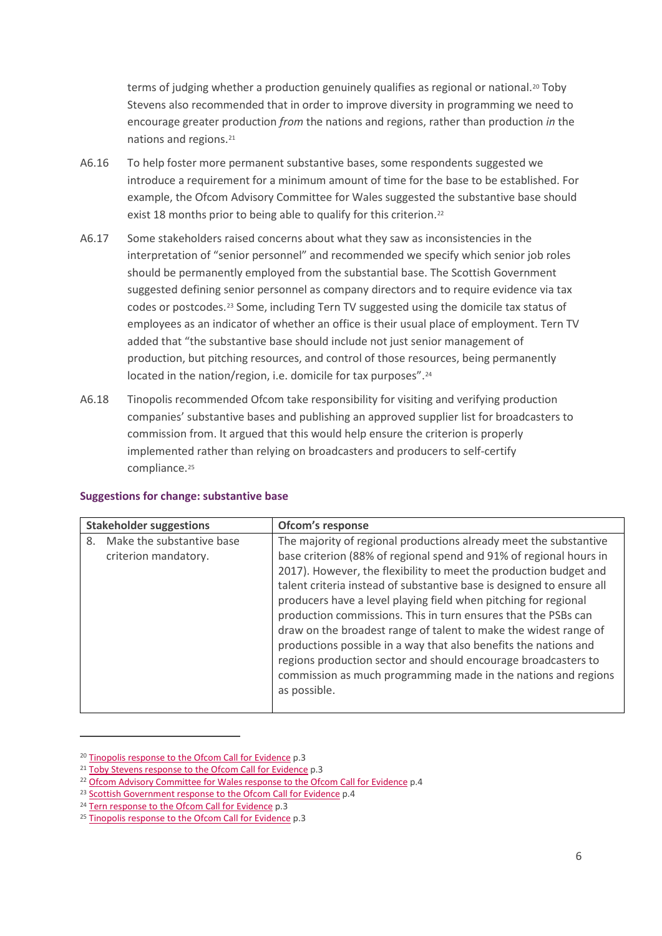terms of judging whether a production genuinely qualifies as regional or national.[20](#page-5-0) Toby Stevens also recommended that in order to improve diversity in programming we need to encourage greater production *from* the nations and regions, rather than production *in* the nations and regions.[21](#page-5-1)

- A6.16 To help foster more permanent substantive bases, some respondents suggested we introduce a requirement for a minimum amount of time for the base to be established. For example, the Ofcom Advisory Committee for Wales suggested the substantive base should exist 18 months prior to being able to qualify for this criterion.<sup>22</sup>
- A6.17 Some stakeholders raised concerns about what they saw as inconsistencies in the interpretation of "senior personnel" and recommended we specify which senior job roles should be permanently employed from the substantial base. The Scottish Government suggested defining senior personnel as company directors and to require evidence via tax codes or postcodes.[23](#page-5-3) Some, including Tern TV suggested using the domicile tax status of employees as an indicator of whether an office is their usual place of employment. Tern TV added that "the substantive base should include not just senior management of production, but pitching resources, and control of those resources, being permanently located in the nation/region, i.e. domicile for tax purposes".<sup>[24](#page-5-4)</sup>
- A6.18 Tinopolis recommended Ofcom take responsibility for visiting and verifying production companies' substantive bases and publishing an approved supplier list for broadcasters to commission from. It argued that this would help ensure the criterion is properly implemented rather than relying on broadcasters and producers to self-certify compliance.<sup>[25](#page-5-5)</sup>

| <b>Stakeholder suggestions</b>                          | Ofcom's response                                                                                                                                                                                                                                                                                                                                                                                                           |
|---------------------------------------------------------|----------------------------------------------------------------------------------------------------------------------------------------------------------------------------------------------------------------------------------------------------------------------------------------------------------------------------------------------------------------------------------------------------------------------------|
| Make the substantive base<br>8.<br>criterion mandatory. | The majority of regional productions already meet the substantive<br>base criterion (88% of regional spend and 91% of regional hours in<br>2017). However, the flexibility to meet the production budget and<br>talent criteria instead of substantive base is designed to ensure all<br>producers have a level playing field when pitching for regional<br>production commissions. This in turn ensures that the PSBs can |
|                                                         | draw on the broadest range of talent to make the widest range of<br>productions possible in a way that also benefits the nations and<br>regions production sector and should encourage broadcasters to<br>commission as much programming made in the nations and regions<br>as possible.                                                                                                                                   |

#### **Suggestions for change: substantive base**

<span id="page-5-0"></span><sup>&</sup>lt;sup>20</sup> [Tinopolis response to the Ofcom Call for Evidence](https://www.ofcom.org.uk/__data/assets/pdf_file/0013/115312/Tinopolis.pdf) p.3

<span id="page-5-1"></span><sup>&</sup>lt;sup>21</sup> [Toby Stevens response to the Ofcom Call for Evidence](https://www.ofcom.org.uk/__data/assets/pdf_file/0020/115319/Stevens,-T..pdf) p.3

<span id="page-5-2"></span><sup>&</sup>lt;sup>22</sup> [Ofcom Advisory Committee for Wales response to the Ofcom Call for Evidence](https://www.ofcom.org.uk/__data/assets/pdf_file/0021/115329/Advisory-Committee-for-Wales.pdf) p.4

<span id="page-5-3"></span><sup>&</sup>lt;sup>23</sup> [Scottish Government response to the Ofcom Call for Evidence](https://www.ofcom.org.uk/__data/assets/pdf_file/0012/115320/Scottish-Government.pdf) p.4

<span id="page-5-4"></span><sup>&</sup>lt;sup>24</sup> [Tern response to the Ofcom Call for Evidence](https://www.ofcom.org.uk/__data/assets/pdf_file/0014/115313/Tern.pdf) p.3

<span id="page-5-5"></span><sup>&</sup>lt;sup>25</sup> Tinopolis [response to the Ofcom Call for Evidence](https://www.ofcom.org.uk/__data/assets/pdf_file/0013/115312/Tinopolis.pdf) p.3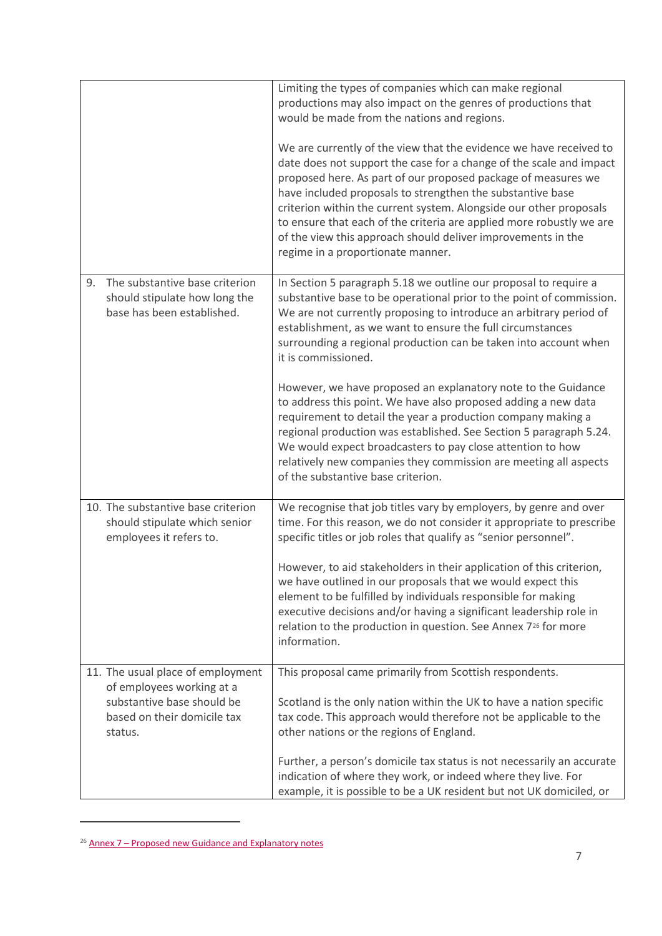|                                                                                                     | Limiting the types of companies which can make regional<br>productions may also impact on the genres of productions that<br>would be made from the nations and regions.                                                                                                                                                                                                                                                                                                                                                     |
|-----------------------------------------------------------------------------------------------------|-----------------------------------------------------------------------------------------------------------------------------------------------------------------------------------------------------------------------------------------------------------------------------------------------------------------------------------------------------------------------------------------------------------------------------------------------------------------------------------------------------------------------------|
|                                                                                                     | We are currently of the view that the evidence we have received to<br>date does not support the case for a change of the scale and impact<br>proposed here. As part of our proposed package of measures we<br>have included proposals to strengthen the substantive base<br>criterion within the current system. Alongside our other proposals<br>to ensure that each of the criteria are applied more robustly we are<br>of the view this approach should deliver improvements in the<br>regime in a proportionate manner. |
| The substantive base criterion<br>9.<br>should stipulate how long the<br>base has been established. | In Section 5 paragraph 5.18 we outline our proposal to require a<br>substantive base to be operational prior to the point of commission.<br>We are not currently proposing to introduce an arbitrary period of<br>establishment, as we want to ensure the full circumstances<br>surrounding a regional production can be taken into account when<br>it is commissioned.                                                                                                                                                     |
|                                                                                                     | However, we have proposed an explanatory note to the Guidance<br>to address this point. We have also proposed adding a new data<br>requirement to detail the year a production company making a<br>regional production was established. See Section 5 paragraph 5.24.<br>We would expect broadcasters to pay close attention to how<br>relatively new companies they commission are meeting all aspects<br>of the substantive base criterion.                                                                               |
| 10. The substantive base criterion<br>should stipulate which senior<br>employees it refers to.      | We recognise that job titles vary by employers, by genre and over<br>time. For this reason, we do not consider it appropriate to prescribe<br>specific titles or job roles that qualify as "senior personnel".                                                                                                                                                                                                                                                                                                              |
|                                                                                                     | However, to aid stakeholders in their application of this criterion,<br>we have outlined in our proposals that we would expect this<br>element to be fulfilled by individuals responsible for making<br>executive decisions and/or having a significant leadership role in<br>relation to the production in question. See Annex 7 <sup>26</sup> for more<br>information.                                                                                                                                                    |
| 11. The usual place of employment<br>of employees working at a                                      | This proposal came primarily from Scottish respondents.                                                                                                                                                                                                                                                                                                                                                                                                                                                                     |
| substantive base should be<br>based on their domicile tax<br>status.                                | Scotland is the only nation within the UK to have a nation specific<br>tax code. This approach would therefore not be applicable to the<br>other nations or the regions of England.                                                                                                                                                                                                                                                                                                                                         |
|                                                                                                     | Further, a person's domicile tax status is not necessarily an accurate<br>indication of where they work, or indeed where they live. For<br>example, it is possible to be a UK resident but not UK domiciled, or                                                                                                                                                                                                                                                                                                             |

<span id="page-6-0"></span><sup>26</sup> Annex 7 – [Proposed new Guidance and Explanatory notes](https://www.ofcom.org.uk/__data/assets/pdf_file/0015/130704/Annex-7-Guidance-and-explanatory-notes-annex.pdf)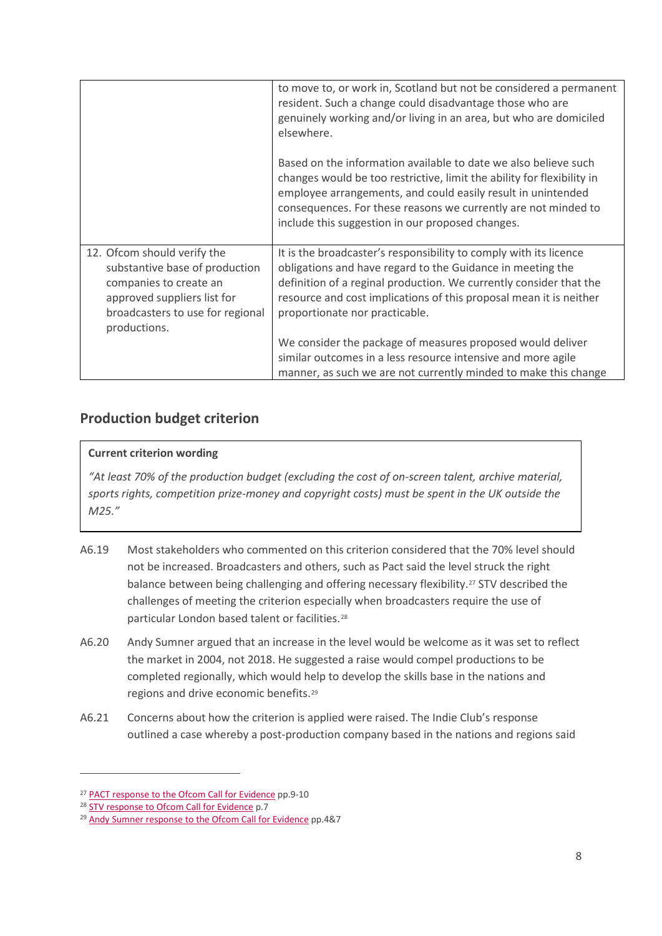|                                                                                                                                                                            | to move to, or work in, Scotland but not be considered a permanent<br>resident. Such a change could disadvantage those who are<br>genuinely working and/or living in an area, but who are domiciled<br>elsewhere.                                                                                                               |
|----------------------------------------------------------------------------------------------------------------------------------------------------------------------------|---------------------------------------------------------------------------------------------------------------------------------------------------------------------------------------------------------------------------------------------------------------------------------------------------------------------------------|
|                                                                                                                                                                            | Based on the information available to date we also believe such<br>changes would be too restrictive, limit the ability for flexibility in<br>employee arrangements, and could easily result in unintended<br>consequences. For these reasons we currently are not minded to<br>include this suggestion in our proposed changes. |
| 12. Ofcom should verify the<br>substantive base of production<br>companies to create an<br>approved suppliers list for<br>broadcasters to use for regional<br>productions. | It is the broadcaster's responsibility to comply with its licence<br>obligations and have regard to the Guidance in meeting the<br>definition of a reginal production. We currently consider that the<br>resource and cost implications of this proposal mean it is neither<br>proportionate nor practicable.                   |
|                                                                                                                                                                            | We consider the package of measures proposed would deliver<br>similar outcomes in a less resource intensive and more agile<br>manner, as such we are not currently minded to make this change                                                                                                                                   |

### **Production budget criterion**

#### **Current criterion wording**

*"At least 70% of the production budget (excluding the cost of on-screen talent, archive material, sports rights, competition prize-money and copyright costs) must be spent in the UK outside the M25."*

- A6.19 Most stakeholders who commented on this criterion considered that the 70% level should not be increased. Broadcasters and others, such as Pact said the level struck the right balance between being challenging and offering necessary flexibility.[27](#page-7-0) STV described the challenges of meeting the criterion especially when broadcasters require the use of particular London based talent or facilities.[28](#page-7-1)
- A6.20 Andy Sumner argued that an increase in the level would be welcome as it was set to reflect the market in 2004, not 2018. He suggested a raise would compel productions to be completed regionally, which would help to develop the skills base in the nations and regions and drive economic benefits.[29](#page-7-2)
- A6.21 Concerns about how the criterion is applied were raised. The Indie Club's response outlined a case whereby a post-production company based in the nations and regions said

<span id="page-7-0"></span><sup>&</sup>lt;sup>27</sup> [PACT response to the Ofcom Call for Evidence](https://www.ofcom.org.uk/__data/assets/pdf_file/0014/115322/PACT.pdf) pp.9-10

<span id="page-7-1"></span><sup>&</sup>lt;sup>28</sup> [STV response to Ofcom Call for Evidence](https://www.ofcom.org.uk/__data/assets/pdf_file/0019/115318/STV.pdf) p.7

<span id="page-7-2"></span><sup>&</sup>lt;sup>29</sup> [Andy Sumner response to the Ofcom Call for Evidence](https://www.ofcom.org.uk/__data/assets/pdf_file/0014/114260/Sumner,-A.pdf) pp.4&7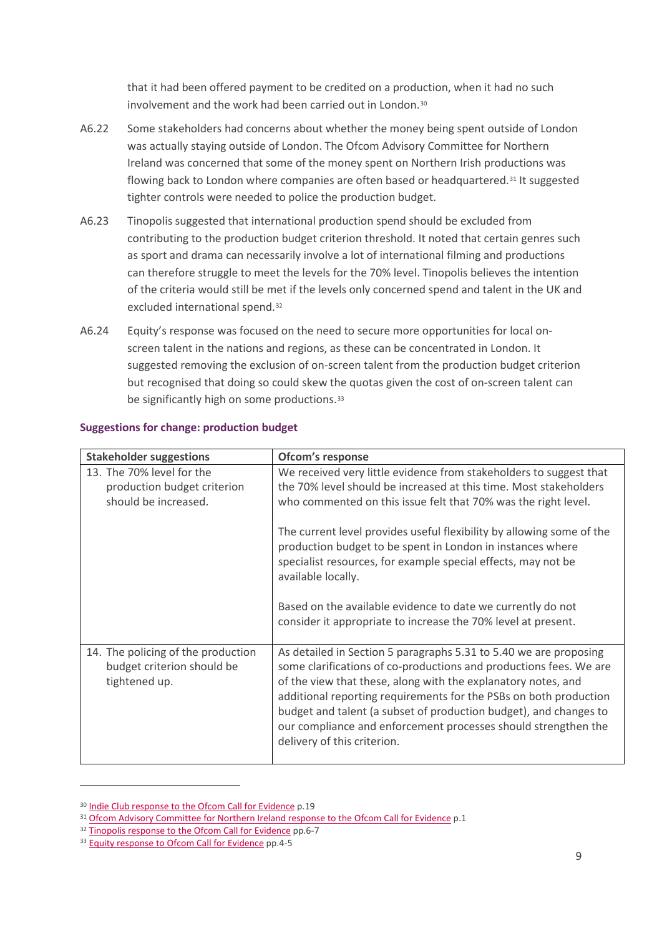that it had been offered payment to be credited on a production, when it had no such involvement and the work had been carried out in London.[30](#page-8-0)

- A6.22 Some stakeholders had concerns about whether the money being spent outside of London was actually staying outside of London. The Ofcom Advisory Committee for Northern Ireland was concerned that some of the money spent on Northern Irish productions was flowing back to London where companies are often based or headquartered.<sup>[31](#page-8-1)</sup> It suggested tighter controls were needed to police the production budget.
- A6.23 Tinopolis suggested that international production spend should be excluded from contributing to the production budget criterion threshold. It noted that certain genres such as sport and drama can necessarily involve a lot of international filming and productions can therefore struggle to meet the levels for the 70% level. Tinopolis believes the intention of the criteria would still be met if the levels only concerned spend and talent in the UK and excluded international spend.[32](#page-8-2)
- A6.24 Equity's response was focused on the need to secure more opportunities for local onscreen talent in the nations and regions, as these can be concentrated in London. It suggested removing the exclusion of on-screen talent from the production budget criterion but recognised that doing so could skew the quotas given the cost of on-screen talent can be significantly high on some productions.<sup>[33](#page-8-3)</sup>

| <b>Stakeholder suggestions</b>                                                    | Ofcom's response                                                                                                                                                                                                                                                                                                                                                                                                                                    |
|-----------------------------------------------------------------------------------|-----------------------------------------------------------------------------------------------------------------------------------------------------------------------------------------------------------------------------------------------------------------------------------------------------------------------------------------------------------------------------------------------------------------------------------------------------|
| 13. The 70% level for the<br>production budget criterion<br>should be increased.  | We received very little evidence from stakeholders to suggest that<br>the 70% level should be increased at this time. Most stakeholders<br>who commented on this issue felt that 70% was the right level.                                                                                                                                                                                                                                           |
|                                                                                   | The current level provides useful flexibility by allowing some of the<br>production budget to be spent in London in instances where<br>specialist resources, for example special effects, may not be<br>available locally.                                                                                                                                                                                                                          |
|                                                                                   | Based on the available evidence to date we currently do not<br>consider it appropriate to increase the 70% level at present.                                                                                                                                                                                                                                                                                                                        |
| 14. The policing of the production<br>budget criterion should be<br>tightened up. | As detailed in Section 5 paragraphs 5.31 to 5.40 we are proposing<br>some clarifications of co-productions and productions fees. We are<br>of the view that these, along with the explanatory notes, and<br>additional reporting requirements for the PSBs on both production<br>budget and talent (a subset of production budget), and changes to<br>our compliance and enforcement processes should strengthen the<br>delivery of this criterion. |

#### **Suggestions for change: production budget**

<span id="page-8-0"></span><sup>30</sup> Indie Club response to [the Ofcom Call for Evidence](https://www.ofcom.org.uk/__data/assets/pdf_file/0015/115314/The-Indie-Club.pdf) p.19

<span id="page-8-1"></span><sup>31</sup> [Ofcom Advisory Committee for Northern Ireland response to the Ofcom Call for Evidence](https://www.ofcom.org.uk/__data/assets/pdf_file/0017/114254/Advisory-Committee-for-Northern-Ireland.pdf) p.1

<span id="page-8-2"></span><sup>32</sup> [Tinopolis response to the Ofcom Call for Evidence](https://www.ofcom.org.uk/__data/assets/pdf_file/0013/115312/Tinopolis.pdf) pp.6-7

<span id="page-8-3"></span><sup>&</sup>lt;sup>33</sup> [Equity response to Ofcom Call for Evidence](https://www.ofcom.org.uk/__data/assets/pdf_file/0021/114258/Equity.pdf) pp.4-5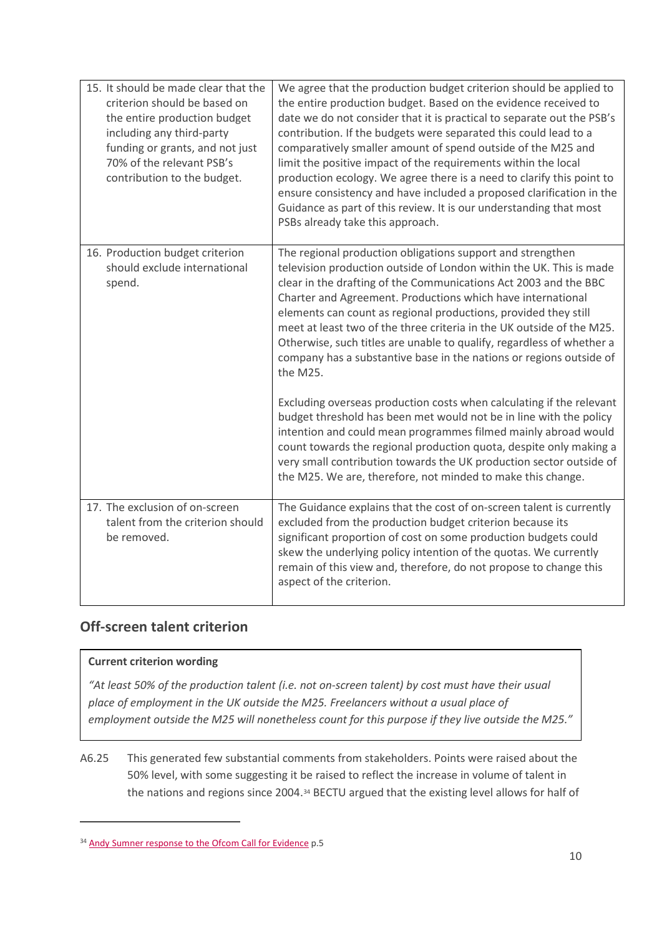| 15. It should be made clear that the<br>criterion should be based on<br>the entire production budget<br>including any third-party<br>funding or grants, and not just<br>70% of the relevant PSB's<br>contribution to the budget. | We agree that the production budget criterion should be applied to<br>the entire production budget. Based on the evidence received to<br>date we do not consider that it is practical to separate out the PSB's<br>contribution. If the budgets were separated this could lead to a<br>comparatively smaller amount of spend outside of the M25 and<br>limit the positive impact of the requirements within the local<br>production ecology. We agree there is a need to clarify this point to<br>ensure consistency and have included a proposed clarification in the<br>Guidance as part of this review. It is our understanding that most<br>PSBs already take this approach. |
|----------------------------------------------------------------------------------------------------------------------------------------------------------------------------------------------------------------------------------|----------------------------------------------------------------------------------------------------------------------------------------------------------------------------------------------------------------------------------------------------------------------------------------------------------------------------------------------------------------------------------------------------------------------------------------------------------------------------------------------------------------------------------------------------------------------------------------------------------------------------------------------------------------------------------|
| 16. Production budget criterion<br>should exclude international<br>spend.                                                                                                                                                        | The regional production obligations support and strengthen<br>television production outside of London within the UK. This is made<br>clear in the drafting of the Communications Act 2003 and the BBC<br>Charter and Agreement. Productions which have international<br>elements can count as regional productions, provided they still<br>meet at least two of the three criteria in the UK outside of the M25.<br>Otherwise, such titles are unable to qualify, regardless of whether a<br>company has a substantive base in the nations or regions outside of<br>the M25.                                                                                                     |
|                                                                                                                                                                                                                                  | Excluding overseas production costs when calculating if the relevant<br>budget threshold has been met would not be in line with the policy<br>intention and could mean programmes filmed mainly abroad would<br>count towards the regional production quota, despite only making a<br>very small contribution towards the UK production sector outside of<br>the M25. We are, therefore, not minded to make this change.                                                                                                                                                                                                                                                         |
| 17. The exclusion of on-screen<br>talent from the criterion should<br>be removed.                                                                                                                                                | The Guidance explains that the cost of on-screen talent is currently<br>excluded from the production budget criterion because its<br>significant proportion of cost on some production budgets could<br>skew the underlying policy intention of the quotas. We currently<br>remain of this view and, therefore, do not propose to change this<br>aspect of the criterion.                                                                                                                                                                                                                                                                                                        |

### **Off-screen talent criterion**

#### **Current criterion wording**

 $\overline{a}$ 

*"At least 50% of the production talent (i.e. not on-screen talent) by cost must have their usual place of employment in the UK outside the M25. Freelancers without a usual place of employment outside the M25 will nonetheless count for this purpose if they live outside the M25."*

A6.25 This generated few substantial comments from stakeholders. Points were raised about the 50% level, with some suggesting it be raised to reflect the increase in volume of talent in the nations and regions since 2004.[34](#page-9-0) BECTU argued that the existing level allows for half of

<span id="page-9-0"></span><sup>34</sup> [Andy Sumner response to the Ofcom Call for Evidence](https://www.ofcom.org.uk/__data/assets/pdf_file/0014/114260/Sumner,-A.pdf) p.5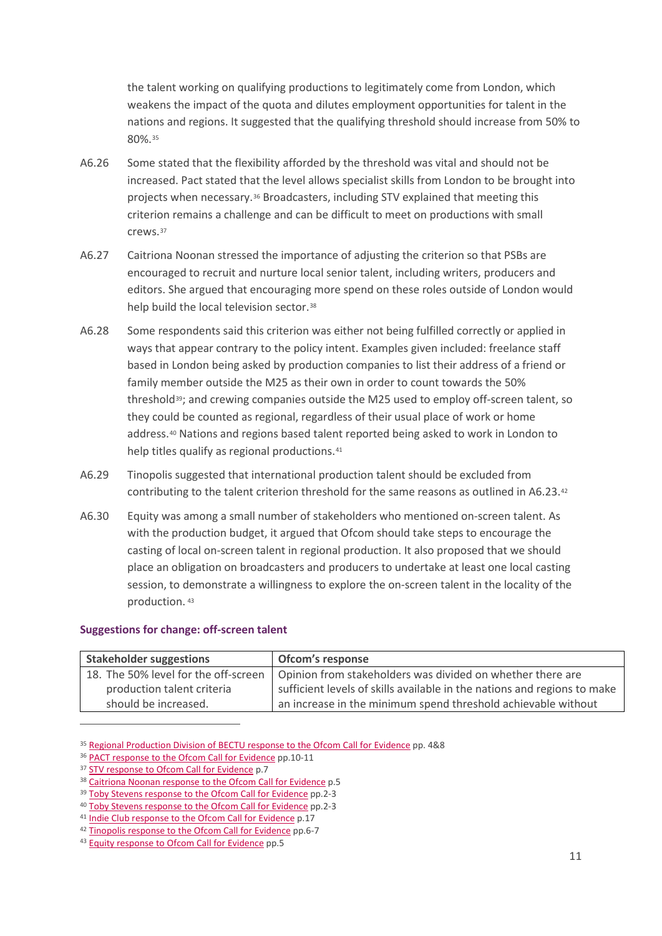the talent working on qualifying productions to legitimately come from London, which weakens the impact of the quota and dilutes employment opportunities for talent in the nations and regions. It suggested that the qualifying threshold should increase from 50% to 80%.[35](#page-10-0)

- A6.26 Some stated that the flexibility afforded by the threshold was vital and should not be increased. Pact stated that the level allows specialist skills from London to be brought into projects when necessary.[36](#page-10-1) Broadcasters, including STV explained that meeting this criterion remains a challenge and can be difficult to meet on productions with small crews.[37](#page-10-2)
- A6.27 Caitriona Noonan stressed the importance of adjusting the criterion so that PSBs are encouraged to recruit and nurture local senior talent, including writers, producers and editors. She argued that encouraging more spend on these roles outside of London would help build the local television sector.<sup>[38](#page-10-3)</sup>
- A6.28 Some respondents said this criterion was either not being fulfilled correctly or applied in ways that appear contrary to the policy intent. Examples given included: freelance staff based in London being asked by production companies to list their address of a friend or family member outside the M25 as their own in order to count towards the 50% threshold[39](#page-10-4); and crewing companies outside the M25 used to employ off-screen talent, so they could be counted as regional, regardless of their usual place of work or home address.[40](#page-10-5) Nations and regions based talent reported being asked to work in London to help titles qualify as regional productions.<sup>[41](#page-10-6)</sup>
- A6.29 Tinopolis suggested that international production talent should be excluded from contributing to the talent criterion threshold for the same reasons as outlined in A6.23.[42](#page-10-7)
- A6.30 Equity was among a small number of stakeholders who mentioned on-screen talent. As with the production budget, it argued that Ofcom should take steps to encourage the casting of local on-screen talent in regional production. It also proposed that we should place an obligation on broadcasters and producers to undertake at least one local casting session, to demonstrate a willingness to explore the on-screen talent in the locality of the production. [43](#page-10-8)

#### **Suggestions for change: off-screen talent**

| <b>Stakeholder suggestions</b>       | Ofcom's response                                                         |
|--------------------------------------|--------------------------------------------------------------------------|
| 18. The 50% level for the off-screen | Opinion from stakeholders was divided on whether there are               |
| production talent criteria           | sufficient levels of skills available in the nations and regions to make |
| should be increased.                 | an increase in the minimum spend threshold achievable without            |

<span id="page-10-0"></span><sup>35</sup> [Regional Production Division of BECTU response to the Ofcom Call for Evidence](https://www.ofcom.org.uk/__data/assets/pdf_file/0013/115321/Regional-Production-Division-of-BECTU.pdf) pp. 4&8

<span id="page-10-1"></span><sup>&</sup>lt;sup>36</sup> [PACT response to the Ofcom Call for Evidence](https://www.ofcom.org.uk/__data/assets/pdf_file/0014/115322/PACT.pdf) pp.10-11

<span id="page-10-2"></span><sup>37</sup> [STV response to Ofcom Call for Evidence](https://www.ofcom.org.uk/__data/assets/pdf_file/0019/115318/STV.pdf) p.7

<span id="page-10-3"></span><sup>38</sup> [Caitriona Noonan response to the Ofcom Call for Evidence](https://www.ofcom.org.uk/__data/assets/pdf_file/0022/114259/Noonan,-C.pdf) p.5

<span id="page-10-4"></span><sup>39</sup> [Toby Stevens response to the Ofcom Call for Evidence](https://www.ofcom.org.uk/__data/assets/pdf_file/0020/115319/Stevens,-T..pdf) pp.2-3

<span id="page-10-5"></span><sup>&</sup>lt;sup>40</sup> Toby Stevens response to the Ofcom Call for Evidence pp.2-3 <sup>41</sup> [Indie Club response to the Ofcom Call for Evidence](https://www.ofcom.org.uk/__data/assets/pdf_file/0015/115314/The-Indie-Club.pdf) p.17

<span id="page-10-7"></span><span id="page-10-6"></span><sup>42</sup> [Tinopolis response to the Ofcom Call for Evidence](https://www.ofcom.org.uk/__data/assets/pdf_file/0013/115312/Tinopolis.pdf) pp.6-7

<span id="page-10-8"></span><sup>43</sup> [Equity response to Ofcom Call for Evidence](https://www.ofcom.org.uk/__data/assets/pdf_file/0021/114258/Equity.pdf) pp.5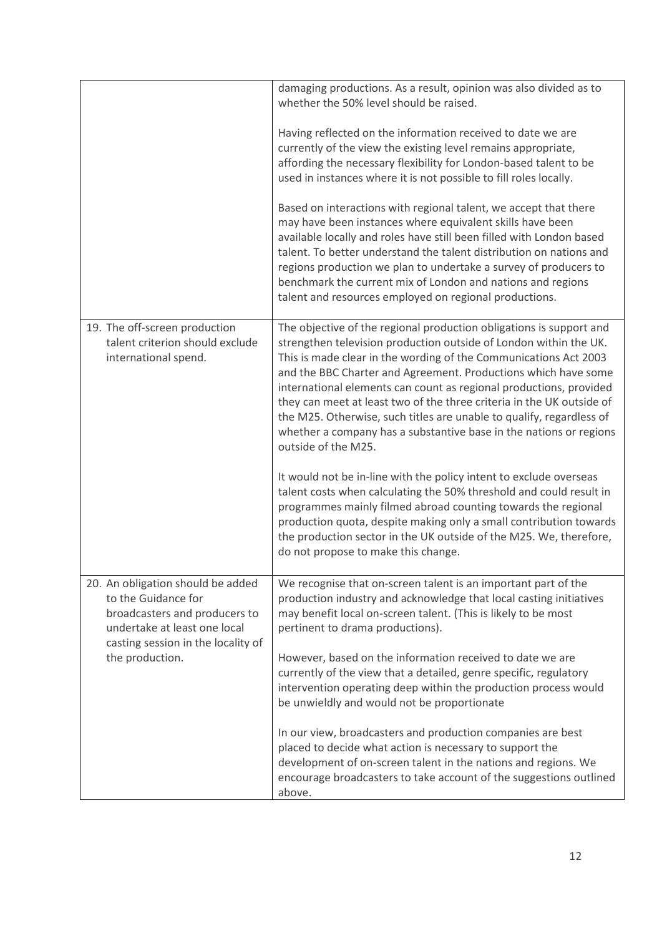|                                                                                                                                                                                    | damaging productions. As a result, opinion was also divided as to<br>whether the 50% level should be raised.                                                                                                                                                                                                                                                                                                                                                                                                                                                                                       |
|------------------------------------------------------------------------------------------------------------------------------------------------------------------------------------|----------------------------------------------------------------------------------------------------------------------------------------------------------------------------------------------------------------------------------------------------------------------------------------------------------------------------------------------------------------------------------------------------------------------------------------------------------------------------------------------------------------------------------------------------------------------------------------------------|
|                                                                                                                                                                                    | Having reflected on the information received to date we are<br>currently of the view the existing level remains appropriate,<br>affording the necessary flexibility for London-based talent to be<br>used in instances where it is not possible to fill roles locally.                                                                                                                                                                                                                                                                                                                             |
|                                                                                                                                                                                    | Based on interactions with regional talent, we accept that there<br>may have been instances where equivalent skills have been<br>available locally and roles have still been filled with London based<br>talent. To better understand the talent distribution on nations and<br>regions production we plan to undertake a survey of producers to<br>benchmark the current mix of London and nations and regions<br>talent and resources employed on regional productions.                                                                                                                          |
| 19. The off-screen production<br>talent criterion should exclude<br>international spend.                                                                                           | The objective of the regional production obligations is support and<br>strengthen television production outside of London within the UK.<br>This is made clear in the wording of the Communications Act 2003<br>and the BBC Charter and Agreement. Productions which have some<br>international elements can count as regional productions, provided<br>they can meet at least two of the three criteria in the UK outside of<br>the M25. Otherwise, such titles are unable to qualify, regardless of<br>whether a company has a substantive base in the nations or regions<br>outside of the M25. |
|                                                                                                                                                                                    | It would not be in-line with the policy intent to exclude overseas<br>talent costs when calculating the 50% threshold and could result in<br>programmes mainly filmed abroad counting towards the regional<br>production quota, despite making only a small contribution towards<br>the production sector in the UK outside of the M25. We, therefore,<br>do not propose to make this change.                                                                                                                                                                                                      |
| 20. An obligation should be added<br>to the Guidance for<br>broadcasters and producers to<br>undertake at least one local<br>casting session in the locality of<br>the production. | We recognise that on-screen talent is an important part of the<br>production industry and acknowledge that local casting initiatives<br>may benefit local on-screen talent. (This is likely to be most<br>pertinent to drama productions).<br>However, based on the information received to date we are<br>currently of the view that a detailed, genre specific, regulatory<br>intervention operating deep within the production process would<br>be unwieldly and would not be proportionate                                                                                                     |
|                                                                                                                                                                                    | In our view, broadcasters and production companies are best<br>placed to decide what action is necessary to support the<br>development of on-screen talent in the nations and regions. We<br>encourage broadcasters to take account of the suggestions outlined<br>above.                                                                                                                                                                                                                                                                                                                          |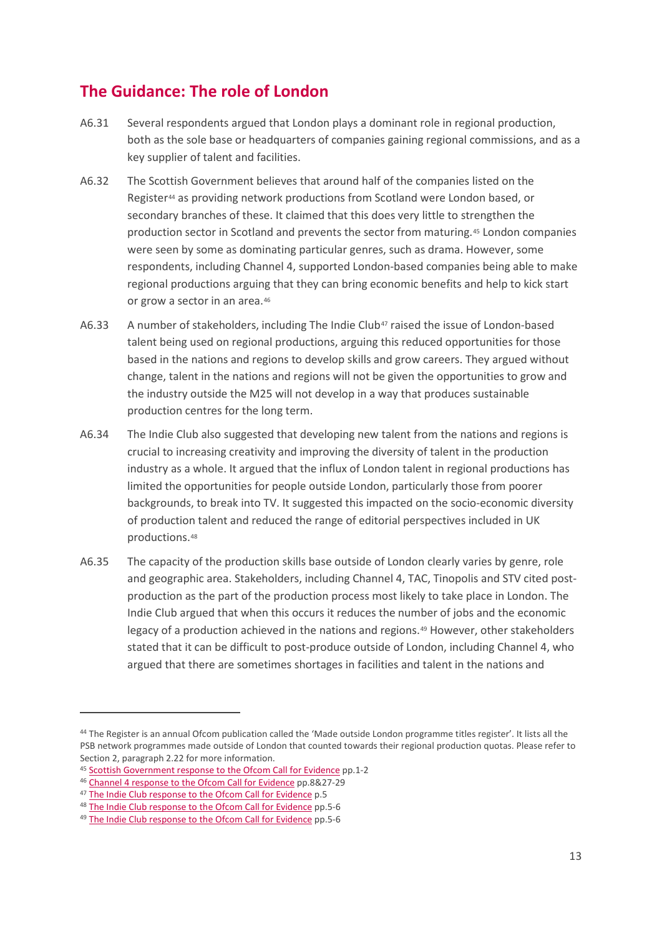# **The Guidance: The role of London**

- A6.31 Several respondents argued that London plays a dominant role in regional production, both as the sole base or headquarters of companies gaining regional commissions, and as a key supplier of talent and facilities.
- A6.32 The Scottish Government believes that around half of the companies listed on the Register<sup>[44](#page-12-0)</sup> as providing network productions from Scotland were London based, or secondary branches of these. It claimed that this does very little to strengthen the production sector in Scotland and prevents the sector from maturing.[45](#page-12-1) London companies were seen by some as dominating particular genres, such as drama. However, some respondents, including Channel 4, supported London-based companies being able to make regional productions arguing that they can bring economic benefits and help to kick start or grow a sector in an area.[46](#page-12-2)
- A6.33 A number of stakeholders, including The Indie Club<sup>[47](#page-12-3)</sup> raised the issue of London-based talent being used on regional productions, arguing this reduced opportunities for those based in the nations and regions to develop skills and grow careers. They argued without change, talent in the nations and regions will not be given the opportunities to grow and the industry outside the M25 will not develop in a way that produces sustainable production centres for the long term.
- A6.34 The Indie Club also suggested that developing new talent from the nations and regions is crucial to increasing creativity and improving the diversity of talent in the production industry as a whole. It argued that the influx of London talent in regional productions has limited the opportunities for people outside London, particularly those from poorer backgrounds, to break into TV. It suggested this impacted on the socio-economic diversity of production talent and reduced the range of editorial perspectives included in UK productions.[48](#page-12-4)
- A6.35 The capacity of the production skills base outside of London clearly varies by genre, role and geographic area. Stakeholders, including Channel 4, TAC, Tinopolis and STV cited postproduction as the part of the production process most likely to take place in London. The Indie Club argued that when this occurs it reduces the number of jobs and the economic legacy of a production achieved in the nations and regions.[49](#page-12-5) However, other stakeholders stated that it can be difficult to post-produce outside of London, including Channel 4, who argued that there are sometimes shortages in facilities and talent in the nations and

<span id="page-12-0"></span><sup>44</sup> The Register is an annual Ofcom publication called the 'Made outside London programme titles register'. It lists all the PSB network programmes made outside of London that counted towards their regional production quotas. Please refer to Section 2, paragraph 2.22 for more information.

<span id="page-12-1"></span><sup>45</sup> [Scottish Government response to the Ofcom Call for Evidence](https://www.ofcom.org.uk/__data/assets/pdf_file/0012/115320/Scottish-Government.pdf) pp.1-2

<span id="page-12-2"></span><sup>46</sup> [Channel 4 response to the Ofcom Call for Evidence](https://www.ofcom.org.uk/__data/assets/pdf_file/0018/115326/Channel-4.pdf) pp.8&27-29

<span id="page-12-3"></span><sup>47</sup> [The Indie Club response to the Ofcom Call for Evidence](https://www.ofcom.org.uk/__data/assets/pdf_file/0015/115314/The-Indie-Club.pdf) p.5

<span id="page-12-4"></span><sup>48</sup> [The Indie Club response to the Ofcom Call for Evidence](https://www.ofcom.org.uk/__data/assets/pdf_file/0015/115314/The-Indie-Club.pdf) pp.5-6

<span id="page-12-5"></span><sup>49</sup> [The Indie Club response to the Ofcom Call for Evidence](https://www.ofcom.org.uk/__data/assets/pdf_file/0015/115314/The-Indie-Club.pdf) pp.5-6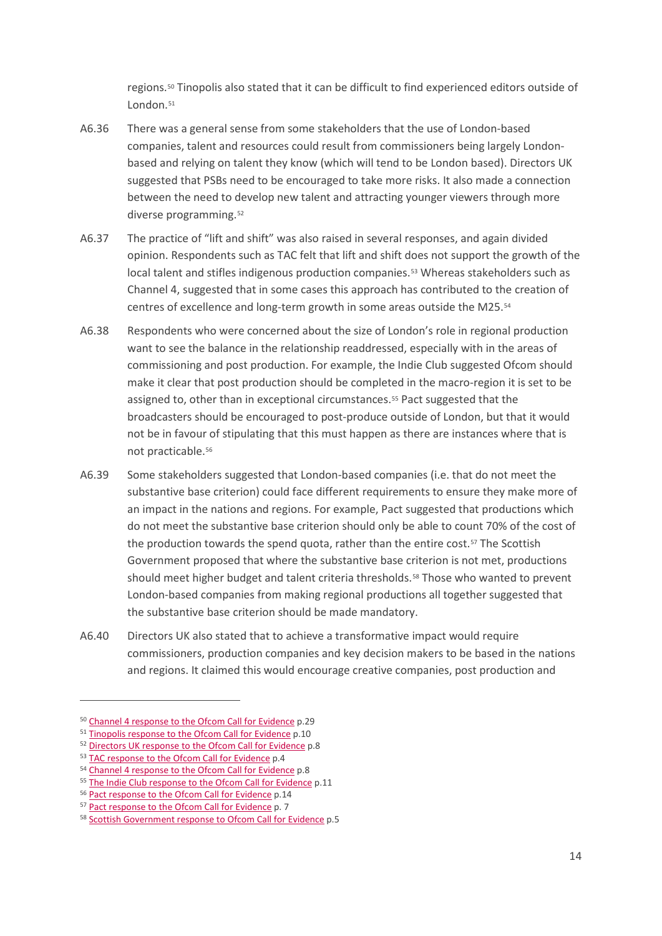regions.[50](#page-13-0) Tinopolis also stated that it can be difficult to find experienced editors outside of London.<sup>51</sup>

- A6.36 There was a general sense from some stakeholders that the use of London-based companies, talent and resources could result from commissioners being largely Londonbased and relying on talent they know (which will tend to be London based). Directors UK suggested that PSBs need to be encouraged to take more risks. It also made a connection between the need to develop new talent and attracting younger viewers through more diverse programming.[52](#page-13-2)
- A6.37 The practice of "lift and shift" was also raised in several responses, and again divided opinion. Respondents such as TAC felt that lift and shift does not support the growth of the local talent and stifles indigenous production companies.<sup>[53](#page-13-3)</sup> Whereas stakeholders such as Channel 4, suggested that in some cases this approach has contributed to the creation of centres of excellence and long-term growth in some areas outside the M25[.54](#page-13-4)
- A6.38 Respondents who were concerned about the size of London's role in regional production want to see the balance in the relationship readdressed, especially with in the areas of commissioning and post production. For example, the Indie Club suggested Ofcom should make it clear that post production should be completed in the macro-region it is set to be assigned to, other than in exceptional circumstances[.55](#page-13-5) Pact suggested that the broadcasters should be encouraged to post-produce outside of London, but that it would not be in favour of stipulating that this must happen as there are instances where that is not practicable.[56](#page-13-6)
- A6.39 Some stakeholders suggested that London-based companies (i.e. that do not meet the substantive base criterion) could face different requirements to ensure they make more of an impact in the nations and regions. For example, Pact suggested that productions which do not meet the substantive base criterion should only be able to count 70% of the cost of the production towards the spend quota, rather than the entire cost[.57](#page-13-7) The Scottish Government proposed that where the substantive base criterion is not met, productions should meet higher budget and talent criteria thresholds.<sup>[58](#page-13-8)</sup> Those who wanted to prevent London-based companies from making regional productions all together suggested that the substantive base criterion should be made mandatory.
- A6.40 Directors UK also stated that to achieve a transformative impact would require commissioners, production companies and key decision makers to be based in the nations and regions. It claimed this would encourage creative companies, post production and

<span id="page-13-0"></span><sup>50</sup> Channel 4 [response to the Ofcom Call for Evidence](https://www.ofcom.org.uk/__data/assets/pdf_file/0018/115326/Channel-4.pdf) p.29

<span id="page-13-1"></span><sup>51</sup> [Tinopolis response to the Ofcom Call for Evidence](https://www.ofcom.org.uk/__data/assets/pdf_file/0013/115312/Tinopolis.pdf) p.10

<span id="page-13-2"></span><sup>52</sup> [Directors UK response to the Ofcom Call for Evidence](https://www.ofcom.org.uk/__data/assets/pdf_file/0020/114257/Directors-UK.pdf) p.8

<span id="page-13-3"></span><sup>53</sup> [TAC response to the Ofcom Call for Evidence](https://www.ofcom.org.uk/__data/assets/pdf_file/0018/115317/TAC.pdf) p.4

<span id="page-13-4"></span><sup>54</sup> [Channel 4 response to the Ofcom Call for Evidence](https://www.ofcom.org.uk/__data/assets/pdf_file/0018/115326/Channel-4.pdf) p.8

<span id="page-13-5"></span><sup>55</sup> [The Indie Club response to the Ofcom Call for Evidence](https://www.ofcom.org.uk/__data/assets/pdf_file/0015/115314/The-Indie-Club.pdf) p.11

<span id="page-13-6"></span><sup>56</sup> Pact [response to the Ofcom Call for Evidence](https://www.ofcom.org.uk/__data/assets/pdf_file/0014/115322/PACT.pdf) p.14

<span id="page-13-7"></span><sup>57</sup> [Pact response to the Ofcom Call for Evidence](https://www.ofcom.org.uk/__data/assets/pdf_file/0014/115322/PACT.pdf) p. 7

<span id="page-13-8"></span><sup>58</sup> [Scottish Government response to Ofcom Call for Evidence](https://www.ofcom.org.uk/__data/assets/pdf_file/0012/115320/Scottish-Government.pdf) p.5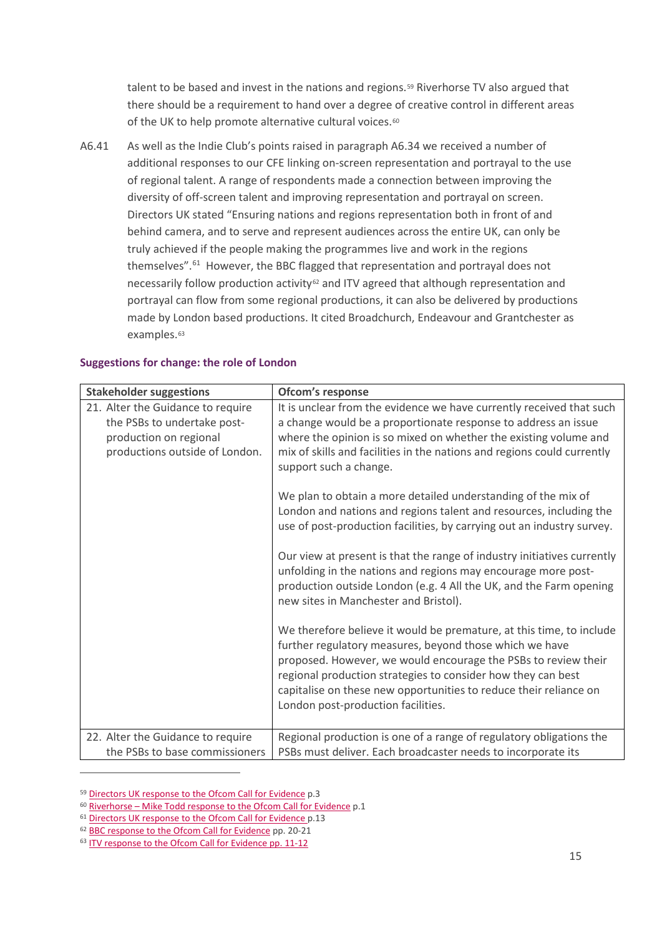talent to be based and invest in the nations and regions.<sup>[59](#page-14-0)</sup> Riverhorse TV also argued that there should be a requirement to hand over a degree of creative control in different areas of the UK to help promote alternative cultural voices.<sup>[60](#page-14-1)</sup>

A6.41 As well as the Indie Club's points raised in paragraph A6.34 we received a number of additional responses to our CFE linking on-screen representation and portrayal to the use of regional talent. A range of respondents made a connection between improving the diversity of off-screen talent and improving representation and portrayal on screen. Directors UK stated "Ensuring nations and regions representation both in front of and behind camera, and to serve and represent audiences across the entire UK, can only be truly achieved if the people making the programmes live and work in the regions themselves".<sup>[61](#page-14-2)</sup> However, the BBC flagged that representation and portrayal does not necessarily follow production activity<sup>[62](#page-14-3)</sup> and ITV agreed that although representation and portrayal can flow from some regional productions, it can also be delivered by productions made by London based productions. It cited Broadchurch, Endeavour and Grantchester as examples.<sup>[63](#page-14-4)</sup>

| <b>Stakeholder suggestions</b>                                                                                               | Ofcom's response                                                                                                                                                                                                                                                                                                                                                             |
|------------------------------------------------------------------------------------------------------------------------------|------------------------------------------------------------------------------------------------------------------------------------------------------------------------------------------------------------------------------------------------------------------------------------------------------------------------------------------------------------------------------|
| 21. Alter the Guidance to require<br>the PSBs to undertake post-<br>production on regional<br>productions outside of London. | It is unclear from the evidence we have currently received that such<br>a change would be a proportionate response to address an issue<br>where the opinion is so mixed on whether the existing volume and<br>mix of skills and facilities in the nations and regions could currently<br>support such a change.                                                              |
|                                                                                                                              | We plan to obtain a more detailed understanding of the mix of<br>London and nations and regions talent and resources, including the<br>use of post-production facilities, by carrying out an industry survey.                                                                                                                                                                |
|                                                                                                                              | Our view at present is that the range of industry initiatives currently<br>unfolding in the nations and regions may encourage more post-<br>production outside London (e.g. 4 All the UK, and the Farm opening<br>new sites in Manchester and Bristol).                                                                                                                      |
|                                                                                                                              | We therefore believe it would be premature, at this time, to include<br>further regulatory measures, beyond those which we have<br>proposed. However, we would encourage the PSBs to review their<br>regional production strategies to consider how they can best<br>capitalise on these new opportunities to reduce their reliance on<br>London post-production facilities. |
| 22. Alter the Guidance to require<br>the PSBs to base commissioners                                                          | Regional production is one of a range of regulatory obligations the<br>PSBs must deliver. Each broadcaster needs to incorporate its                                                                                                                                                                                                                                          |

#### **Suggestions for change: the role of London**

<span id="page-14-0"></span><sup>59</sup> [Directors UK response to the Ofcom Call for Evidence](https://www.ofcom.org.uk/__data/assets/pdf_file/0020/114257/Directors-UK.pdf) p.3

<span id="page-14-1"></span><sup>&</sup>lt;sup>60</sup> Riverhorse – [Mike Todd response to the Ofcom Call for Evidence](https://www.ofcom.org.uk/__data/assets/pdf_file/0017/115316/Todd,-M..pdf) p.1

<span id="page-14-2"></span><sup>&</sup>lt;sup>61</sup> [Directors UK response to the Ofcom Call for Evidence](https://www.ofcom.org.uk/__data/assets/pdf_file/0020/114257/Directors-UK.pdf) p.13

<span id="page-14-3"></span><sup>62</sup> [BBC response to the Ofcom Call for Evidence](https://www.ofcom.org.uk/__data/assets/pdf_file/0020/115328/BBC.pdf) pp. 20-21

<span id="page-14-4"></span><sup>63</sup> [ITV response to the Ofcom Call for Evidence](https://www.ofcom.org.uk/__data/assets/pdf_file/0016/115324/ITV.pdf) pp. 11-12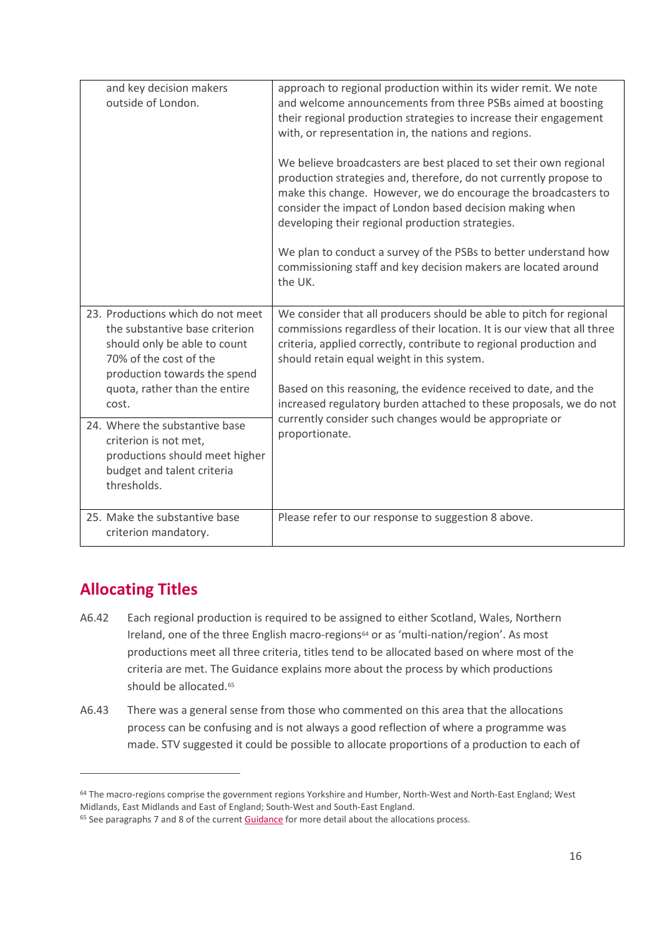| and key decision makers<br>outside of London.                                                                                                                 | approach to regional production within its wider remit. We note<br>and welcome announcements from three PSBs aimed at boosting<br>their regional production strategies to increase their engagement<br>with, or representation in, the nations and regions.                                                              |
|---------------------------------------------------------------------------------------------------------------------------------------------------------------|--------------------------------------------------------------------------------------------------------------------------------------------------------------------------------------------------------------------------------------------------------------------------------------------------------------------------|
|                                                                                                                                                               | We believe broadcasters are best placed to set their own regional<br>production strategies and, therefore, do not currently propose to<br>make this change. However, we do encourage the broadcasters to<br>consider the impact of London based decision making when<br>developing their regional production strategies. |
|                                                                                                                                                               | We plan to conduct a survey of the PSBs to better understand how<br>commissioning staff and key decision makers are located around<br>the UK.                                                                                                                                                                            |
| 23. Productions which do not meet<br>the substantive base criterion<br>should only be able to count<br>70% of the cost of the<br>production towards the spend | We consider that all producers should be able to pitch for regional<br>commissions regardless of their location. It is our view that all three<br>criteria, applied correctly, contribute to regional production and<br>should retain equal weight in this system.                                                       |
| quota, rather than the entire<br>cost.                                                                                                                        | Based on this reasoning, the evidence received to date, and the<br>increased regulatory burden attached to these proposals, we do not                                                                                                                                                                                    |
| 24. Where the substantive base<br>criterion is not met,<br>productions should meet higher<br>budget and talent criteria<br>thresholds.                        | currently consider such changes would be appropriate or<br>proportionate.                                                                                                                                                                                                                                                |
| 25. Make the substantive base<br>criterion mandatory.                                                                                                         | Please refer to our response to suggestion 8 above.                                                                                                                                                                                                                                                                      |

# **Allocating Titles**

- A6.42 Each regional production is required to be assigned to either Scotland, Wales, Northern Ireland, one of the three English macro-regions<sup>[64](#page-15-0)</sup> or as 'multi-nation/region'. As most productions meet all three criteria, titles tend to be allocated based on where most of the criteria are met. The Guidance explains more about the process by which productions should be allocated.<sup>[65](#page-15-1)</sup>
- A6.43 There was a general sense from those who commented on this area that the allocations process can be confusing and is not always a good reflection of where a programme was made. STV suggested it could be possible to allocate proportions of a production to each of

<span id="page-15-0"></span><sup>&</sup>lt;sup>64</sup> The macro-regions comprise the government regions Yorkshire and Humber, North-West and North-East England; West Midlands, East Midlands and East of England; South-West and South-East England.

<span id="page-15-1"></span><sup>&</sup>lt;sup>65</sup> See paragraphs 7 and 8 of the current **Guidance** for more detail about the allocations process.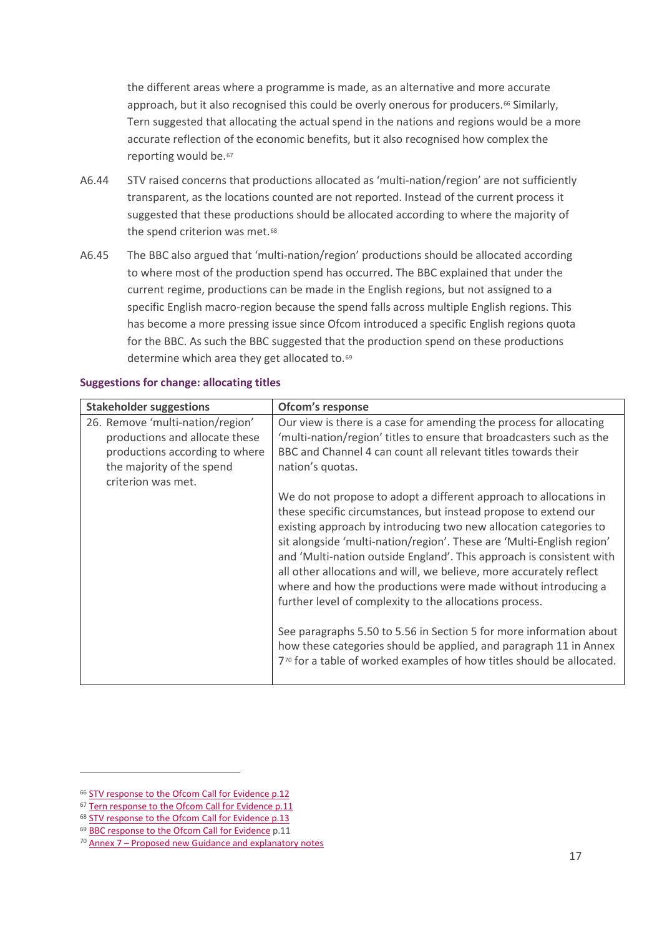the different areas where a programme is made, as an alternative and more accurate approach, but it also recognised this could be overly onerous for producers.<sup>[66](#page-16-0)</sup> Similarly, Tern suggested that allocating the actual spend in the nations and regions would be a more accurate reflection of the economic benefits, but it also recognised how complex the reporting would be.<sup>[67](#page-16-1)</sup>

- A6.44 STV raised concerns that productions allocated as 'multi-nation/region' are not sufficiently transparent, as the locations counted are not reported. Instead of the current process it suggested that these productions should be allocated according to where the majority of the spend criterion was met.<sup>[68](#page-16-2)</sup>
- A6.45 The BBC also argued that 'multi-nation/region' productions should be allocated according to where most of the production spend has occurred. The BBC explained that under the current regime, productions can be made in the English regions, but not assigned to a specific English macro-region because the spend falls across multiple English regions. This has become a more pressing issue since Ofcom introduced a specific English regions quota for the BBC. As such the BBC suggested that the production spend on these productions determine which area they get allocated to.<sup>[69](#page-16-3)</sup>

| <b>Stakeholder suggestions</b>                                                                                                                          | Ofcom's response                                                                                                                                                                                                                                                                                                                                                                                                                                                                                                                                                                                                                                                                                                                                                                               |
|---------------------------------------------------------------------------------------------------------------------------------------------------------|------------------------------------------------------------------------------------------------------------------------------------------------------------------------------------------------------------------------------------------------------------------------------------------------------------------------------------------------------------------------------------------------------------------------------------------------------------------------------------------------------------------------------------------------------------------------------------------------------------------------------------------------------------------------------------------------------------------------------------------------------------------------------------------------|
| 26. Remove 'multi-nation/region'<br>productions and allocate these<br>productions according to where<br>the majority of the spend<br>criterion was met. | Our view is there is a case for amending the process for allocating<br>'multi-nation/region' titles to ensure that broadcasters such as the<br>BBC and Channel 4 can count all relevant titles towards their<br>nation's quotas.                                                                                                                                                                                                                                                                                                                                                                                                                                                                                                                                                               |
|                                                                                                                                                         | We do not propose to adopt a different approach to allocations in<br>these specific circumstances, but instead propose to extend our<br>existing approach by introducing two new allocation categories to<br>sit alongside 'multi-nation/region'. These are 'Multi-English region'<br>and 'Multi-nation outside England'. This approach is consistent with<br>all other allocations and will, we believe, more accurately reflect<br>where and how the productions were made without introducing a<br>further level of complexity to the allocations process.<br>See paragraphs 5.50 to 5.56 in Section 5 for more information about<br>how these categories should be applied, and paragraph 11 in Annex<br>7 <sup>70</sup> for a table of worked examples of how titles should be allocated. |

#### **Suggestions for change: allocating titles**

<span id="page-16-0"></span><sup>66</sup> [STV response to the Ofcom Call for Evidence](https://www.ofcom.org.uk/__data/assets/pdf_file/0019/115318/STV.pdf) p.12

<span id="page-16-1"></span><sup>67</sup> [Tern response to the Ofcom Call for Evidence](https://www.ofcom.org.uk/__data/assets/pdf_file/0014/115313/Tern.pdf) p.11

<span id="page-16-2"></span><sup>68</sup> [STV response to the Ofcom Call for Evidence](https://www.ofcom.org.uk/__data/assets/pdf_file/0019/115318/STV.pdf) p.13

<span id="page-16-3"></span><sup>69</sup> [BBC response to the Ofcom Call for Evidence](https://www.ofcom.org.uk/__data/assets/pdf_file/0020/115328/BBC.pdf) p.11

<span id="page-16-4"></span><sup>70</sup> Annex 7 – [Proposed new Guidance and explanatory](https://www.ofcom.org.uk/__data/assets/pdf_file/0015/130704/Annex-7-Guidance-and-explanatory-notes-annex.pdf) notes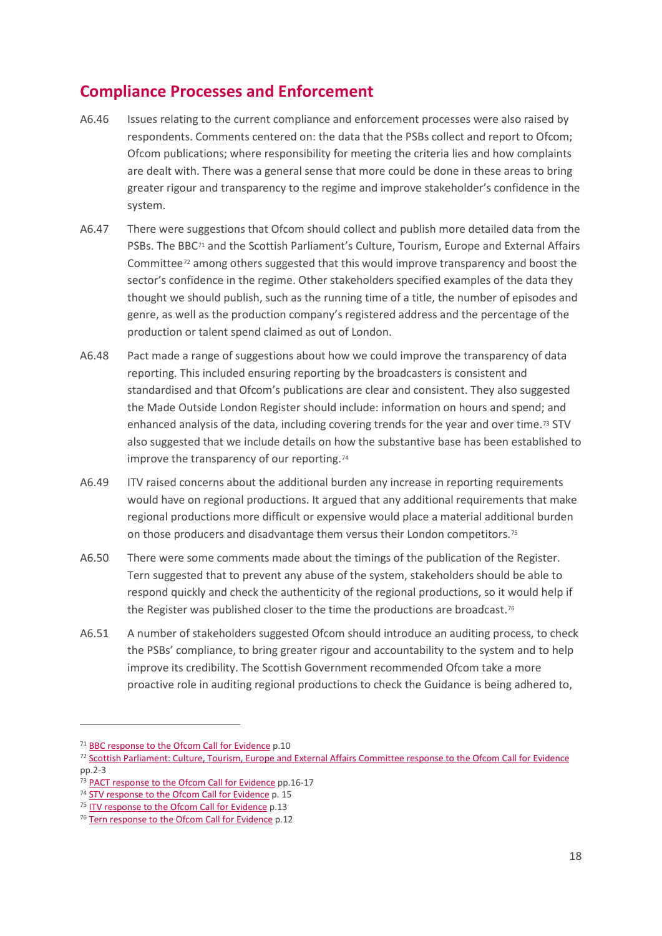### **Compliance Processes and Enforcement**

- A6.46 Issues relating to the current compliance and enforcement processes were also raised by respondents. Comments centered on: the data that the PSBs collect and report to Ofcom; Ofcom publications; where responsibility for meeting the criteria lies and how complaints are dealt with. There was a general sense that more could be done in these areas to bring greater rigour and transparency to the regime and improve stakeholder's confidence in the system.
- A6.47 There were suggestions that Ofcom should collect and publish more detailed data from the PSBs. The BBC<sup>[71](#page-17-0)</sup> and the Scottish Parliament's Culture, Tourism, Europe and External Affairs Committee[72](#page-17-1) among others suggested that this would improve transparency and boost the sector's confidence in the regime. Other stakeholders specified examples of the data they thought we should publish, such as the running time of a title, the number of episodes and genre, as well as the production company's registered address and the percentage of the production or talent spend claimed as out of London.
- A6.48 Pact made a range of suggestions about how we could improve the transparency of data reporting. This included ensuring reporting by the broadcasters is consistent and standardised and that Ofcom's publications are clear and consistent. They also suggested the Made Outside London Register should include: information on hours and spend; and enhanced analysis of the data, including covering trends for the year and over time[.73](#page-17-2) STV also suggested that we include details on how the substantive base has been established to improve the transparency of our reporting.<sup>[74](#page-17-3)</sup>
- A6.49 ITV raised concerns about the additional burden any increase in reporting requirements would have on regional productions. It argued that any additional requirements that make regional productions more difficult or expensive would place a material additional burden on those producers and disadvantage them versus their London competitors.[75](#page-17-4)
- A6.50 There were some comments made about the timings of the publication of the Register. Tern suggested that to prevent any abuse of the system, stakeholders should be able to respond quickly and check the authenticity of the regional productions, so it would help if the Register was published closer to the time the productions are broadcast.<sup>[76](#page-17-5)</sup>
- A6.51 A number of stakeholders suggested Ofcom should introduce an auditing process, to check the PSBs' compliance, to bring greater rigour and accountability to the system and to help improve its credibility. The Scottish Government recommended Ofcom take a more proactive role in auditing regional productions to check the Guidance is being adhered to,

<span id="page-17-0"></span><sup>71</sup> [BBC response to the Ofcom Call for Evidence](https://www.ofcom.org.uk/__data/assets/pdf_file/0020/115328/BBC.pdf) p.10

<span id="page-17-1"></span><sup>72</sup> [Scottish Parliament: Culture, Tourism, Europe and External Affairs Committee response to the Ofcom Call for Evidence](https://www.ofcom.org.uk/__data/assets/pdf_file/0017/115325/Culture,-Tourism,-Europe-and-External-Relations-Committee.pdf) pp.2-3

<span id="page-17-2"></span><sup>73</sup> [PACT response to the Ofcom Call for Evidence](https://www.ofcom.org.uk/__data/assets/pdf_file/0014/115322/PACT.pdf) pp.16-17

<span id="page-17-3"></span><sup>&</sup>lt;sup>74</sup> [STV response to the Ofcom Call for Evidence](https://www.ofcom.org.uk/__data/assets/pdf_file/0019/115318/STV.pdf) p. 15

<span id="page-17-4"></span><sup>&</sup>lt;sup>75</sup> [ITV response to the Ofcom Call for Evidence](https://www.ofcom.org.uk/__data/assets/pdf_file/0016/115324/ITV.pdf) p.13

<span id="page-17-5"></span><sup>&</sup>lt;sup>76</sup> [Tern response to the Ofcom Call for Evidence](https://www.ofcom.org.uk/__data/assets/pdf_file/0014/115313/Tern.pdf) p.12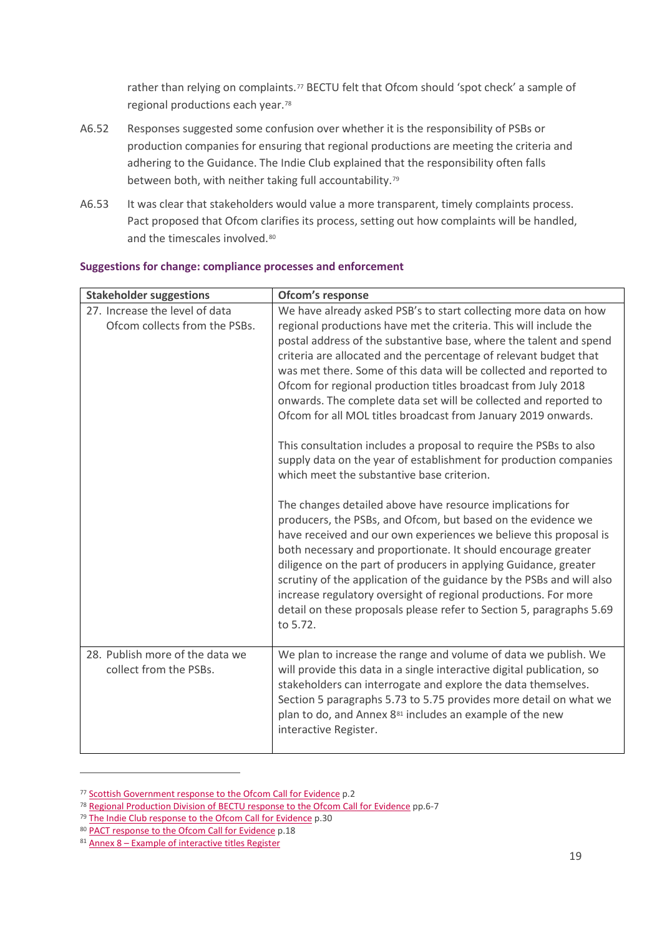rather than relying on complaints.<sup>[77](#page-18-0)</sup> BECTU felt that Ofcom should 'spot check' a sample of regional productions each year.[78](#page-18-1)

- A6.52 Responses suggested some confusion over whether it is the responsibility of PSBs or production companies for ensuring that regional productions are meeting the criteria and adhering to the Guidance. The Indie Club explained that the responsibility often falls between both, with neither taking full accountability.<sup>[79](#page-18-2)</sup>
- A6.53 It was clear that stakeholders would value a more transparent, timely complaints process. Pact proposed that Ofcom clarifies its process, setting out how complaints will be handled, and the timescales involved.<sup>[80](#page-18-3)</sup>

| <b>Stakeholder suggestions</b>                                  | Ofcom's response                                                                                                                                                                                                                                                                                                                                                                                                                                                                                                                                                                                                                                                                                                                                                                                                                                                                                                                                                                                                                                                                                                                                                                                                                                                                                                            |
|-----------------------------------------------------------------|-----------------------------------------------------------------------------------------------------------------------------------------------------------------------------------------------------------------------------------------------------------------------------------------------------------------------------------------------------------------------------------------------------------------------------------------------------------------------------------------------------------------------------------------------------------------------------------------------------------------------------------------------------------------------------------------------------------------------------------------------------------------------------------------------------------------------------------------------------------------------------------------------------------------------------------------------------------------------------------------------------------------------------------------------------------------------------------------------------------------------------------------------------------------------------------------------------------------------------------------------------------------------------------------------------------------------------|
| 27. Increase the level of data<br>Ofcom collects from the PSBs. | We have already asked PSB's to start collecting more data on how<br>regional productions have met the criteria. This will include the<br>postal address of the substantive base, where the talent and spend<br>criteria are allocated and the percentage of relevant budget that<br>was met there. Some of this data will be collected and reported to<br>Ofcom for regional production titles broadcast from July 2018<br>onwards. The complete data set will be collected and reported to<br>Ofcom for all MOL titles broadcast from January 2019 onwards.<br>This consultation includes a proposal to require the PSBs to also<br>supply data on the year of establishment for production companies<br>which meet the substantive base criterion.<br>The changes detailed above have resource implications for<br>producers, the PSBs, and Ofcom, but based on the evidence we<br>have received and our own experiences we believe this proposal is<br>both necessary and proportionate. It should encourage greater<br>diligence on the part of producers in applying Guidance, greater<br>scrutiny of the application of the guidance by the PSBs and will also<br>increase regulatory oversight of regional productions. For more<br>detail on these proposals please refer to Section 5, paragraphs 5.69<br>to 5.72. |
| 28. Publish more of the data we<br>collect from the PSBs.       | We plan to increase the range and volume of data we publish. We<br>will provide this data in a single interactive digital publication, so<br>stakeholders can interrogate and explore the data themselves.<br>Section 5 paragraphs 5.73 to 5.75 provides more detail on what we<br>plan to do, and Annex 8 <sup>81</sup> includes an example of the new<br>interactive Register.                                                                                                                                                                                                                                                                                                                                                                                                                                                                                                                                                                                                                                                                                                                                                                                                                                                                                                                                            |

#### **Suggestions for change: compliance processes and enforcement**

<span id="page-18-0"></span><sup>77</sup> [Scottish Government response to the Ofcom Call for Evidence](https://www.ofcom.org.uk/__data/assets/pdf_file/0012/115320/Scottish-Government.pdf) p.2

<span id="page-18-1"></span><sup>&</sup>lt;sup>78</sup> [Regional Production Division of BECTU response to the Ofcom Call for Evidence](https://www.ofcom.org.uk/__data/assets/pdf_file/0013/115321/Regional-Production-Division-of-BECTU.pdf) pp.6-7

<span id="page-18-2"></span><sup>79</sup> [The Indie Club response to the Ofcom Call for Evidence](https://www.ofcom.org.uk/__data/assets/pdf_file/0015/115314/The-Indie-Club.pdf) p.30

<span id="page-18-3"></span><sup>80</sup> [PACT response to the Ofcom Call for Evidence](https://www.ofcom.org.uk/__data/assets/pdf_file/0014/115322/PACT.pdf) p.18

<span id="page-18-4"></span> $81$  Annex 8 – [Example of interactive titles Register](https://www.ofcom.org.uk/consultations-and-statements/category-1/review-regional-tv-production-programming-guidance/annex-5-interactive-data)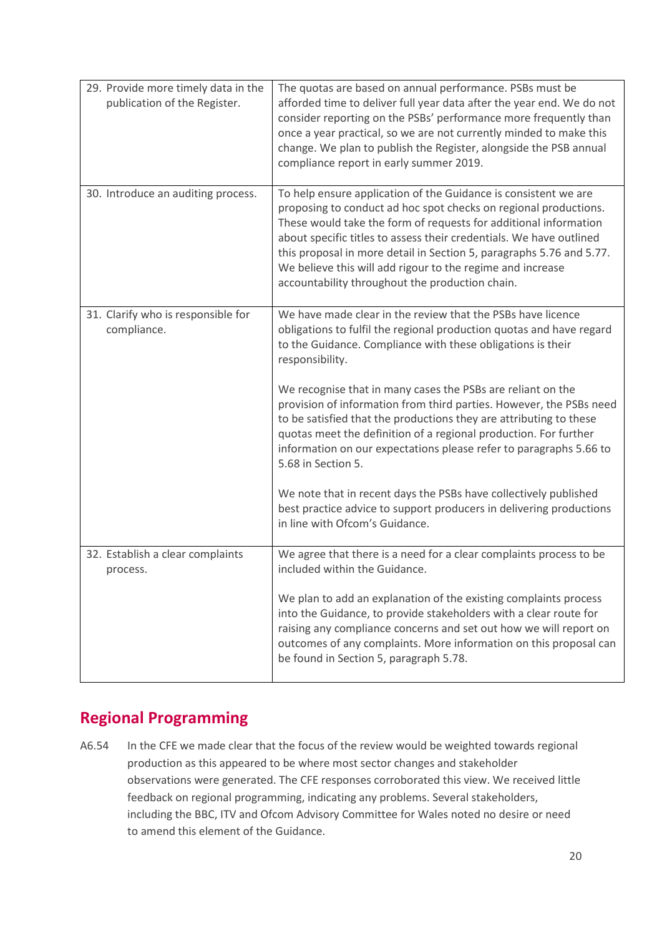| 29. Provide more timely data in the<br>publication of the Register. | The quotas are based on annual performance. PSBs must be<br>afforded time to deliver full year data after the year end. We do not<br>consider reporting on the PSBs' performance more frequently than<br>once a year practical, so we are not currently minded to make this<br>change. We plan to publish the Register, alongside the PSB annual<br>compliance report in early summer 2019.                                                                             |
|---------------------------------------------------------------------|-------------------------------------------------------------------------------------------------------------------------------------------------------------------------------------------------------------------------------------------------------------------------------------------------------------------------------------------------------------------------------------------------------------------------------------------------------------------------|
| 30. Introduce an auditing process.                                  | To help ensure application of the Guidance is consistent we are<br>proposing to conduct ad hoc spot checks on regional productions.<br>These would take the form of requests for additional information<br>about specific titles to assess their credentials. We have outlined<br>this proposal in more detail in Section 5, paragraphs 5.76 and 5.77.<br>We believe this will add rigour to the regime and increase<br>accountability throughout the production chain. |
| 31. Clarify who is responsible for<br>compliance.                   | We have made clear in the review that the PSBs have licence<br>obligations to fulfil the regional production quotas and have regard<br>to the Guidance. Compliance with these obligations is their<br>responsibility.                                                                                                                                                                                                                                                   |
|                                                                     | We recognise that in many cases the PSBs are reliant on the<br>provision of information from third parties. However, the PSBs need<br>to be satisfied that the productions they are attributing to these<br>quotas meet the definition of a regional production. For further<br>information on our expectations please refer to paragraphs 5.66 to<br>5.68 in Section 5.                                                                                                |
|                                                                     | We note that in recent days the PSBs have collectively published<br>best practice advice to support producers in delivering productions<br>in line with Ofcom's Guidance.                                                                                                                                                                                                                                                                                               |
| 32. Establish a clear complaints<br>process.                        | We agree that there is a need for a clear complaints process to be<br>included within the Guidance.                                                                                                                                                                                                                                                                                                                                                                     |
|                                                                     | We plan to add an explanation of the existing complaints process<br>into the Guidance, to provide stakeholders with a clear route for<br>raising any compliance concerns and set out how we will report on<br>outcomes of any complaints. More information on this proposal can<br>be found in Section 5, paragraph 5.78.                                                                                                                                               |

# **Regional Programming**

A6.54 In the CFE we made clear that the focus of the review would be weighted towards regional production as this appeared to be where most sector changes and stakeholder observations were generated. The CFE responses corroborated this view. We received little feedback on regional programming, indicating any problems. Several stakeholders, including the BBC, ITV and Ofcom Advisory Committee for Wales noted no desire or need to amend this element of the Guidance.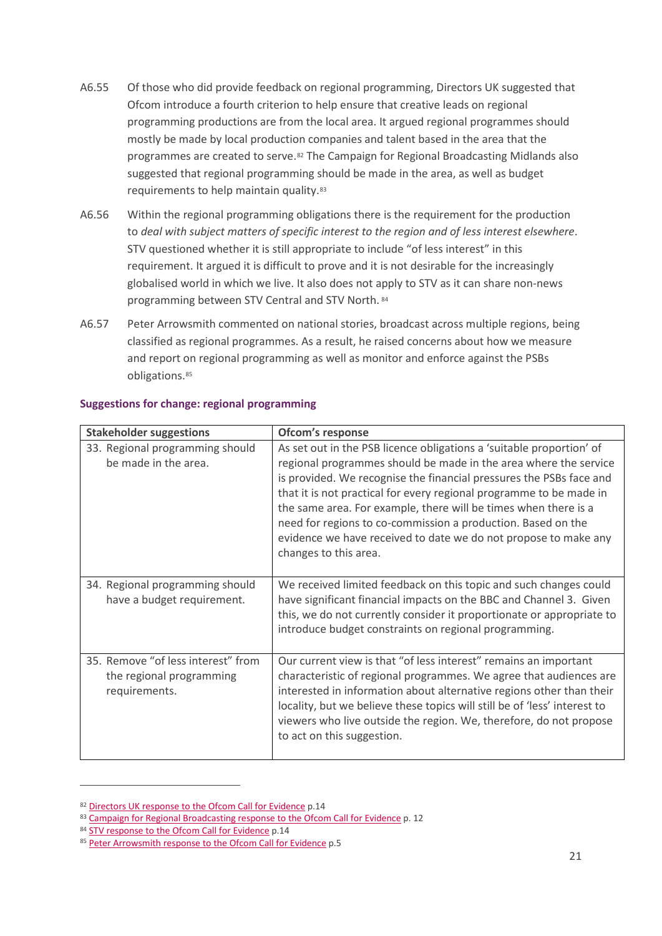- A6.55 Of those who did provide feedback on regional programming, Directors UK suggested that Ofcom introduce a fourth criterion to help ensure that creative leads on regional programming productions are from the local area. It argued regional programmes should mostly be made by local production companies and talent based in the area that the programmes are created to serve.<sup>[82](#page-20-0)</sup> The Campaign for Regional Broadcasting Midlands also suggested that regional programming should be made in the area, as well as budget requirements to help maintain quality.[83](#page-20-1)
- A6.56 Within the regional programming obligations there is the requirement for the production to *deal with subject matters of specific interest to the region and of less interest elsewhere*. STV questioned whether it is still appropriate to include "of less interest" in this requirement. It argued it is difficult to prove and it is not desirable for the increasingly globalised world in which we live. It also does not apply to STV as it can share non-news programming between STV Central and STV North. [84](#page-20-2)
- A6.57 Peter Arrowsmith commented on national stories, broadcast across multiple regions, being classified as regional programmes. As a result, he raised concerns about how we measure and report on regional programming as well as monitor and enforce against the PSBs obligations.[85](#page-20-3)

| <b>Stakeholder suggestions</b>                                                  | Ofcom's response                                                                                                                                                                                                                                                                                                                                                                                                                                                                                                      |
|---------------------------------------------------------------------------------|-----------------------------------------------------------------------------------------------------------------------------------------------------------------------------------------------------------------------------------------------------------------------------------------------------------------------------------------------------------------------------------------------------------------------------------------------------------------------------------------------------------------------|
| 33. Regional programming should<br>be made in the area.                         | As set out in the PSB licence obligations a 'suitable proportion' of<br>regional programmes should be made in the area where the service<br>is provided. We recognise the financial pressures the PSBs face and<br>that it is not practical for every regional programme to be made in<br>the same area. For example, there will be times when there is a<br>need for regions to co-commission a production. Based on the<br>evidence we have received to date we do not propose to make any<br>changes to this area. |
| 34. Regional programming should<br>have a budget requirement.                   | We received limited feedback on this topic and such changes could<br>have significant financial impacts on the BBC and Channel 3. Given<br>this, we do not currently consider it proportionate or appropriate to<br>introduce budget constraints on regional programming.                                                                                                                                                                                                                                             |
| 35. Remove "of less interest" from<br>the regional programming<br>requirements. | Our current view is that "of less interest" remains an important<br>characteristic of regional programmes. We agree that audiences are<br>interested in information about alternative regions other than their<br>locality, but we believe these topics will still be of 'less' interest to<br>viewers who live outside the region. We, therefore, do not propose<br>to act on this suggestion.                                                                                                                       |

#### **Suggestions for change: regional programming**

<span id="page-20-0"></span><sup>82</sup> [Directors UK response to the Ofcom Call for Evidence](https://www.ofcom.org.uk/__data/assets/pdf_file/0020/114257/Directors-UK.pdf) p.14

<span id="page-20-1"></span><sup>83</sup> [Campaign for Regional Broadcasting response to the Ofcom Call for Evidence](https://www.ofcom.org.uk/__data/assets/pdf_file/0019/115327/Campaign-for-Regional-Broadcasting-Midlands.pdf) p. 12

<span id="page-20-2"></span><sup>84</sup> [STV response to the Ofcom Call for Evidence](https://www.ofcom.org.uk/__data/assets/pdf_file/0019/115318/STV.pdf) p.14

<span id="page-20-3"></span><sup>85</sup> [Peter Arrowsmith response to the Ofcom Call for Evidence](https://www.ofcom.org.uk/__data/assets/pdf_file/0018/114255/Arrowsmith,-P.pdf) p.5